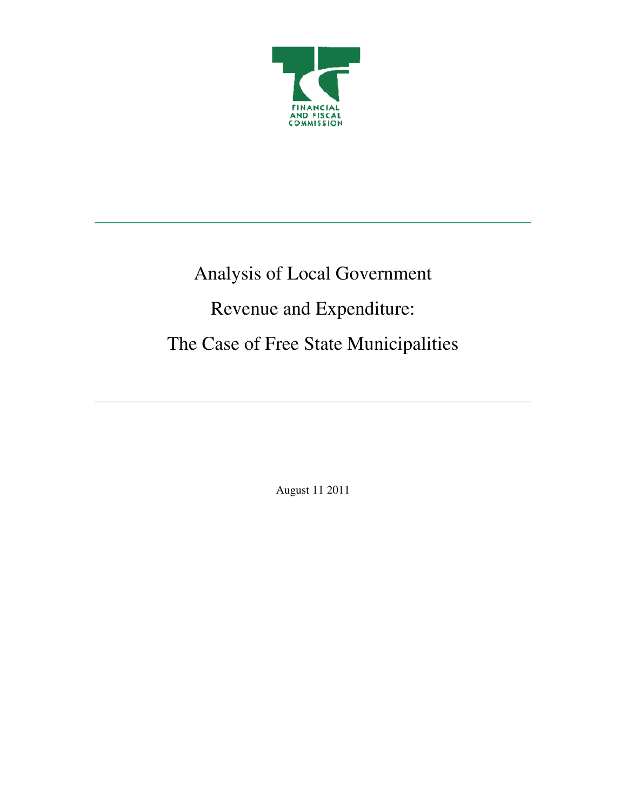

# Analysis of Local Government Revenue and Expenditure: The Case of Free State Municipalities

August 11 2011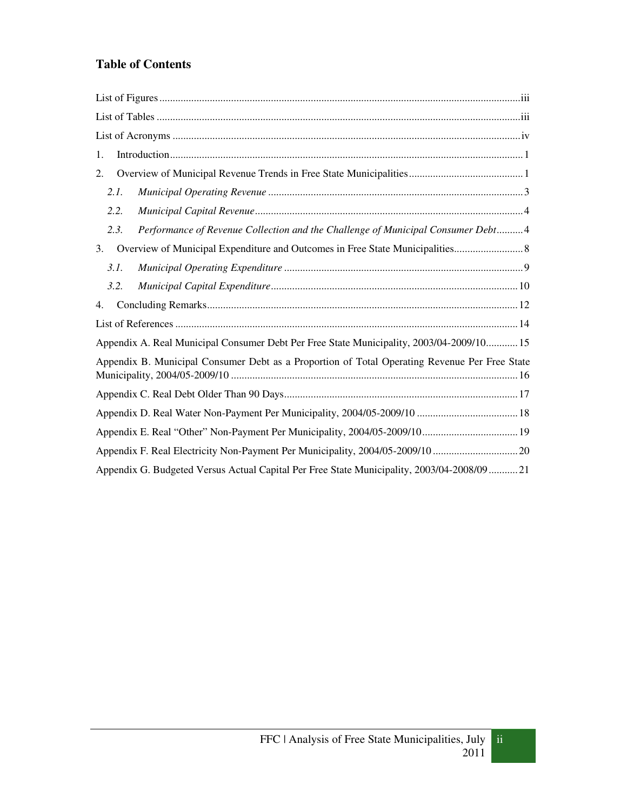# **Table of Contents**

| 1.                                                                                            |
|-----------------------------------------------------------------------------------------------|
| 2.                                                                                            |
| 2.1.                                                                                          |
| 2.2.                                                                                          |
| Performance of Revenue Collection and the Challenge of Municipal Consumer Debt4<br>2.3.       |
| 3.                                                                                            |
| 3.1.                                                                                          |
| 3.2.                                                                                          |
| 4.                                                                                            |
|                                                                                               |
| Appendix A. Real Municipal Consumer Debt Per Free State Municipality, 2003/04-2009/10 15      |
| Appendix B. Municipal Consumer Debt as a Proportion of Total Operating Revenue Per Free State |
|                                                                                               |
| Appendix D. Real Water Non-Payment Per Municipality, 2004/05-2009/10  18                      |
| Appendix E. Real "Other" Non-Payment Per Municipality, 2004/05-2009/10 19                     |
| Appendix F. Real Electricity Non-Payment Per Municipality, 2004/05-2009/10 20                 |
| Appendix G. Budgeted Versus Actual Capital Per Free State Municipality, 2003/04-2008/09 21    |

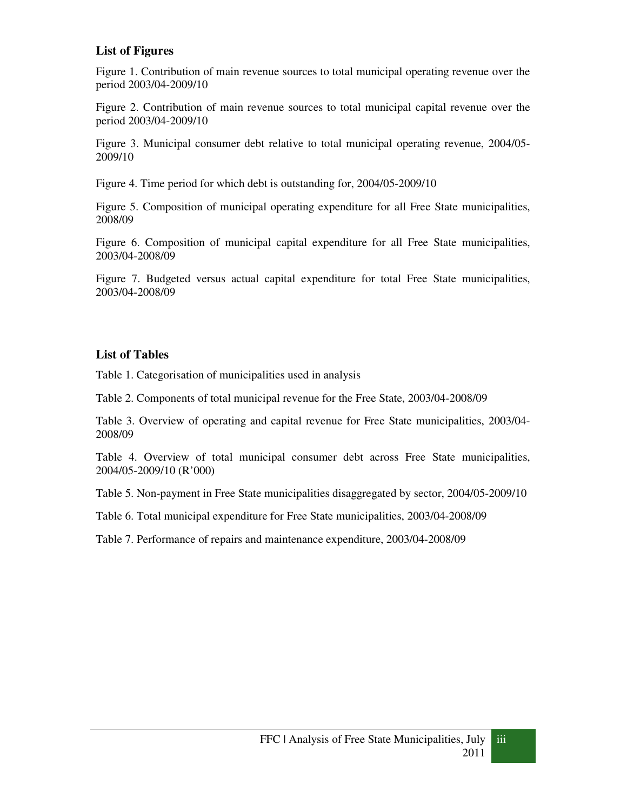# **List of Figures**

Figure 1. Contribution of main revenue sources to total municipal operating revenue over the period 2003/04-2009/10

Figure 2. Contribution of main revenue sources to total municipal capital revenue over the period 2003/04-2009/10

Figure 3. Municipal consumer debt relative to total municipal operating revenue, 2004/05- 2009/10

Figure 4. Time period for which debt is outstanding for, 2004/05-2009/10

Figure 5. Composition of municipal operating expenditure for all Free State municipalities, 2008/09

Figure 6. Composition of municipal capital expenditure for all Free State municipalities, 2003/04-2008/09

Figure 7. Budgeted versus actual capital expenditure for total Free State municipalities, 2003/04-2008/09

#### **List of Tables**

Table 1. Categorisation of municipalities used in analysis

Table 2. Components of total municipal revenue for the Free State, 2003/04-2008/09

Table 3. Overview of operating and capital revenue for Free State municipalities, 2003/04- 2008/09

Table 4. Overview of total municipal consumer debt across Free State municipalities, 2004/05-2009/10 (R'000)

Table 5. Non-payment in Free State municipalities disaggregated by sector, 2004/05-2009/10

Table 6. Total municipal expenditure for Free State municipalities, 2003/04-2008/09

Table 7. Performance of repairs and maintenance expenditure, 2003/04-2008/09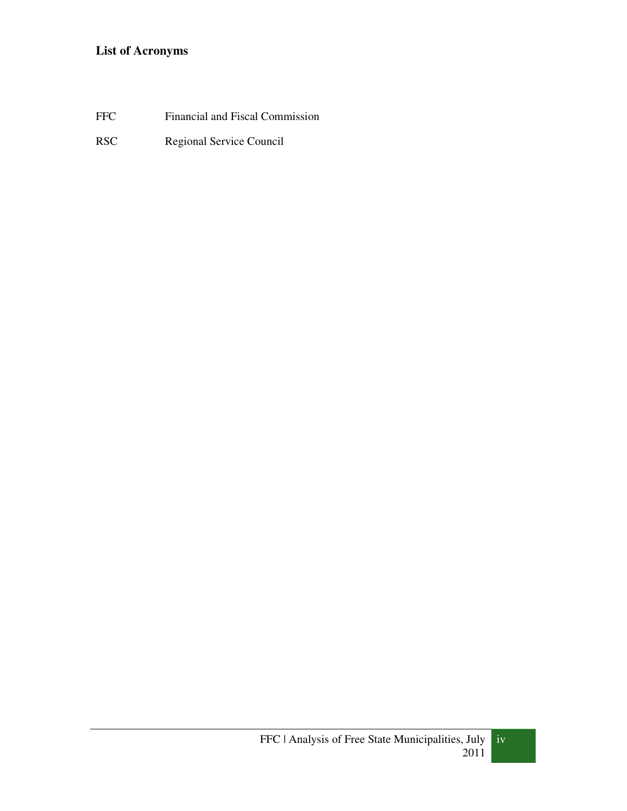# **List of Acronyms**

FFC Financial and Fiscal Commission

RSC Regional Service Council

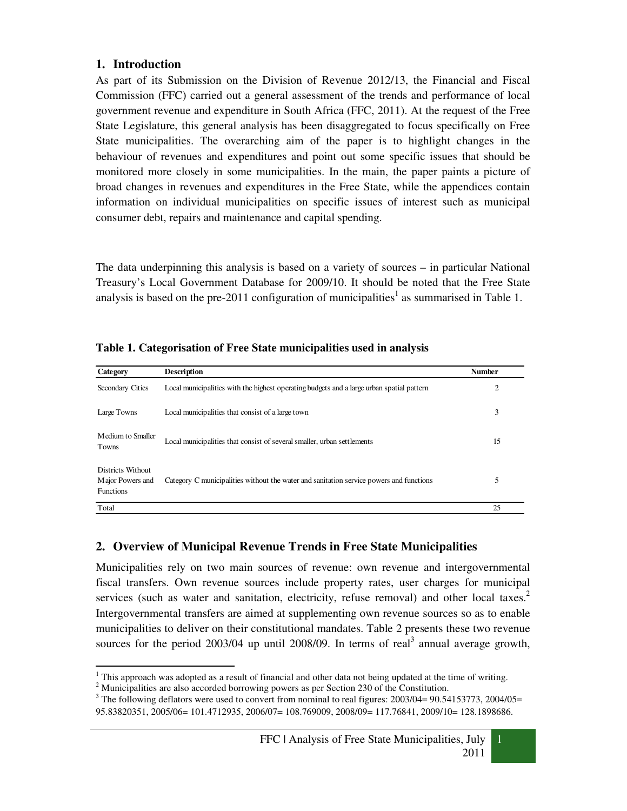#### **1. Introduction**

As part of its Submission on the Division of Revenue 2012/13, the Financial and Fiscal Commission (FFC) carried out a general assessment of the trends and performance of local government revenue and expenditure in South Africa (FFC, 2011). At the request of the Free State Legislature, this general analysis has been disaggregated to focus specifically on Free State municipalities. The overarching aim of the paper is to highlight changes in the behaviour of revenues and expenditures and point out some specific issues that should be monitored more closely in some municipalities. In the main, the paper paints a picture of broad changes in revenues and expenditures in the Free State, while the appendices contain information on individual municipalities on specific issues of interest such as municipal consumer debt, repairs and maintenance and capital spending.

The data underpinning this analysis is based on a variety of sources – in particular National Treasury's Local Government Database for 2009/10. It should be noted that the Free State analysis is based on the pre-2011 configuration of municipalities<sup>1</sup> as summarised in Table 1.

| Category                                                  | <b>Description</b>                                                                        | <b>Number</b> |
|-----------------------------------------------------------|-------------------------------------------------------------------------------------------|---------------|
| Secondary Cities                                          | Local municipalities with the highest operating budgets and a large urban spatial pattern | 2             |
| Large Towns                                               | Local municipalities that consist of a large town                                         | 3             |
| Medium to Smaller<br><b>Towns</b>                         | Local municipalities that consist of several smaller, urban settlements                   | 15            |
| Districts Without<br>Major Powers and<br><b>Functions</b> | Category C municipalities without the water and sanitation service powers and functions   | 5             |
| Total                                                     |                                                                                           | 25            |

**Table 1. Categorisation of Free State municipalities used in analysis** 

# **2. Overview of Municipal Revenue Trends in Free State Municipalities**

Municipalities rely on two main sources of revenue: own revenue and intergovernmental fiscal transfers. Own revenue sources include property rates, user charges for municipal services (such as water and sanitation, electricity, refuse removal) and other local taxes.<sup>2</sup> Intergovernmental transfers are aimed at supplementing own revenue sources so as to enable municipalities to deliver on their constitutional mandates. Table 2 presents these two revenue sources for the period  $2003/04$  up until  $2008/09$ . In terms of real<sup>3</sup> annual average growth,

This approach was adopted as a result of financial and other data not being updated at the time of writing.

 $2^2$  Municipalities are also accorded borrowing powers as per Section 230 of the Constitution.

 $3$  The following deflators were used to convert from nominal to real figures: 2003/04= 90.54153773, 2004/05= 95.83820351, 2005/06= 101.4712935, 2006/07= 108.769009, 2008/09= 117.76841, 2009/10= 128.1898686.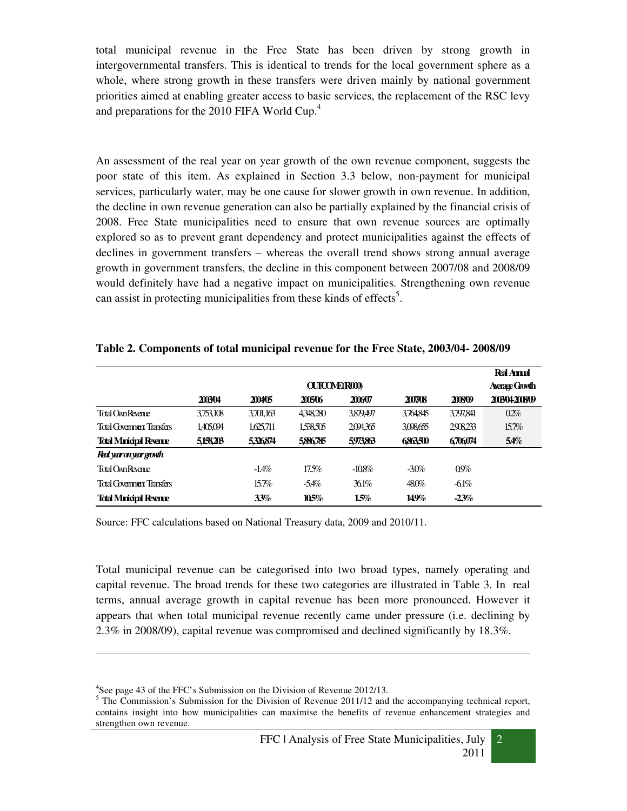total municipal revenue in the Free State has been driven by strong growth in intergovernmental transfers. This is identical to trends for the local government sphere as a whole, where strong growth in these transfers were driven mainly by national government priorities aimed at enabling greater access to basic services, the replacement of the RSC levy and preparations for the 2010 FIFA World Cup.<sup>4</sup>

An assessment of the real year on year growth of the own revenue component, suggests the poor state of this item. As explained in Section 3.3 below, non-payment for municipal services, particularly water, may be one cause for slower growth in own revenue. In addition, the decline in own revenue generation can also be partially explained by the financial crisis of 2008. Free State municipalities need to ensure that own revenue sources are optimally explored so as to prevent grant dependency and protect municipalities against the effects of declines in government transfers – whereas the overall trend shows strong annual average growth in government transfers, the decline in this component between 2007/08 and 2008/09 would definitely have had a negative impact on municipalities. Strengthening own revenue can assist in protecting municipalities from these kinds of effects<sup>5</sup>.

|                                |           |                    |           |          |         |           | <b>Ral Ampl</b> |  |  |  |
|--------------------------------|-----------|--------------------|-----------|----------|---------|-----------|-----------------|--|--|--|
|                                |           | <b>OUTCOMEROOD</b> |           |          |         |           |                 |  |  |  |
|                                | 200304    | 200405             | 2005/06   | 2006/07  | 2007/08 | 20809     | 200304200809    |  |  |  |
| Total Own Revenue              | 3.753.108 | 3701,163           | 4348280   | 3879,497 | 3764845 | 3.797,841 | 02%             |  |  |  |
| Total Government Transfers     | 1,405,094 | 1,625,711          | 1.538.505 | 2094365  | 308655  | 2908233   | 15.7%           |  |  |  |
| <b>Total Minicipal Revenue</b> | 5158203   | 5326874            | 5886785   | 5973863  | 6863500 | 6706074   | 54%             |  |  |  |
| Red year on year growth        |           |                    |           |          |         |           |                 |  |  |  |
| <b>Total Ovn Revene</b>        |           | $-1.4\%$           | 17.5%     | $-108%$  | $-30%$  | 09%       |                 |  |  |  |
| Total Government Transfers     |           | 15.7%              | $-5.4\%$  | 361%     | 480%    | $-61%$    |                 |  |  |  |
| <b>Total Minicipal Revenue</b> |           | 33%                | 10.5%     | 15%      | 149%    | $-23%$    |                 |  |  |  |

#### **Table 2. Components of total municipal revenue for the Free State, 2003/04- 2008/09**

Source: FFC calculations based on National Treasury data, 2009 and 2010/11.

Total municipal revenue can be categorised into two broad types, namely operating and capital revenue. The broad trends for these two categories are illustrated in Table 3. In real terms, annual average growth in capital revenue has been more pronounced. However it appears that when total municipal revenue recently came under pressure (i.e. declining by 2.3% in 2008/09), capital revenue was compromised and declined significantly by 18.3%.

 $\overline{a}$ 

<sup>&</sup>lt;sup>4</sup>See page 43 of the FFC's Submission on the Division of Revenue 2012/13.

<sup>&</sup>lt;sup>5</sup> The Commission's Submission for the Division of Revenue 2011/12 and the accompanying technical report, contains insight into how municipalities can maximise the benefits of revenue enhancement strategies and strengthen own revenue.

<sup>2</sup>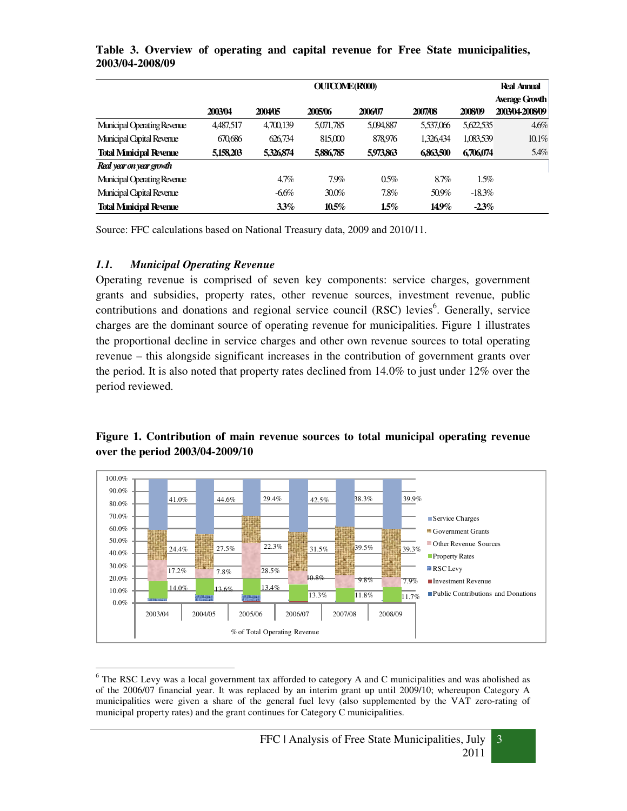|                                  |           | <b>OUTCOME(R000)</b> |           |           |           |           |                       |  |
|----------------------------------|-----------|----------------------|-----------|-----------|-----------|-----------|-----------------------|--|
|                                  |           |                      |           |           |           |           | <b>Average Growth</b> |  |
|                                  | 2003/04   | 2004/05              | 2005/06   | 2006/07   | 2007/08   | 2008/09   | 2003/04-2008/09       |  |
| Municipal Operating Revenue      | 4,487,517 | 4,700,139            | 5,071,785 | 5,094,887 | 5,537,066 | 5,622,535 | 4.6%                  |  |
| <b>Municipal Capital Revenue</b> | 670,686   | 626,734              | 815,000   | 878,976   | 1,326,434 | 1,083,539 | 10.1%                 |  |
| <b>Total Municipal Revenue</b>   | 5,158,203 | 5,326,874            | 5,886,785 | 5,973,863 | 6863,500  | 6,706,074 | 5.4%                  |  |
| Real year on year growth         |           |                      |           |           |           |           |                       |  |
| Municipal Operating Revenue      |           | 4.7%                 | 7.9%      | 0.5%      | 8.7%      | 1.5%      |                       |  |
| <b>Municipal Capital Revenue</b> |           | $-6.6\%$             | 30.0%     | 7.8%      | 50.9%     | $-18.3\%$ |                       |  |
| <b>Total Minicipal Revenue</b>   |           | 3.3%                 | $10.5\%$  | 1.5%      | 14.9%     | $-2.3\%$  |                       |  |

**Table 3. Overview of operating and capital revenue for Free State municipalities, 2003/04-2008/09**

Source: FFC calculations based on National Treasury data, 2009 and 2010/11.

#### *1.1. Municipal Operating Revenue*

Operating revenue is comprised of seven key components: service charges, government grants and subsidies, property rates, other revenue sources, investment revenue, public contributions and donations and regional service council (RSC) levies<sup>6</sup>. Generally, service charges are the dominant source of operating revenue for municipalities. Figure 1 illustrates the proportional decline in service charges and other own revenue sources to total operating revenue – this alongside significant increases in the contribution of government grants over the period. It is also noted that property rates declined from 14.0% to just under 12% over the period reviewed.

#### $14.0\%$  13.6% 13.4% 13.3% 11.8% 11.7% 17.2% 7.8% 28.5% 10.8% 9.8% 7.9% 24.4% 27.5% 22.3% 31.5% 39.5% 39.3%  $41.0\%$   $44.6\%$   $29.4\%$   $42.5\%$   $38.3\%$   $39.9\%$ 0.0% 10.0% 20.0% 30.0% 40.0% 50.0% 60.0% 70.0% 80.0% 90.0% 100.0% 2003/04 2004/05 2005/06 2006/07 2007/08 2008/09 % of Total Operating Revenue Service Charges Government Grants Other Revenue Sources **Property Rates** RSC Levy ■Investment Revenue **Public Contributions and Donations**

# **Figure 1. Contribution of main revenue sources to total municipal operating revenue over the period 2003/04-2009/10**



 $\overline{\phantom{a}}$ <sup>6</sup> The RSC Levy was a local government tax afforded to category A and C municipalities and was abolished as of the 2006/07 financial year. It was replaced by an interim grant up until 2009/10; whereupon Category A municipalities were given a share of the general fuel levy (also supplemented by the VAT zero-rating of municipal property rates) and the grant continues for Category C municipalities.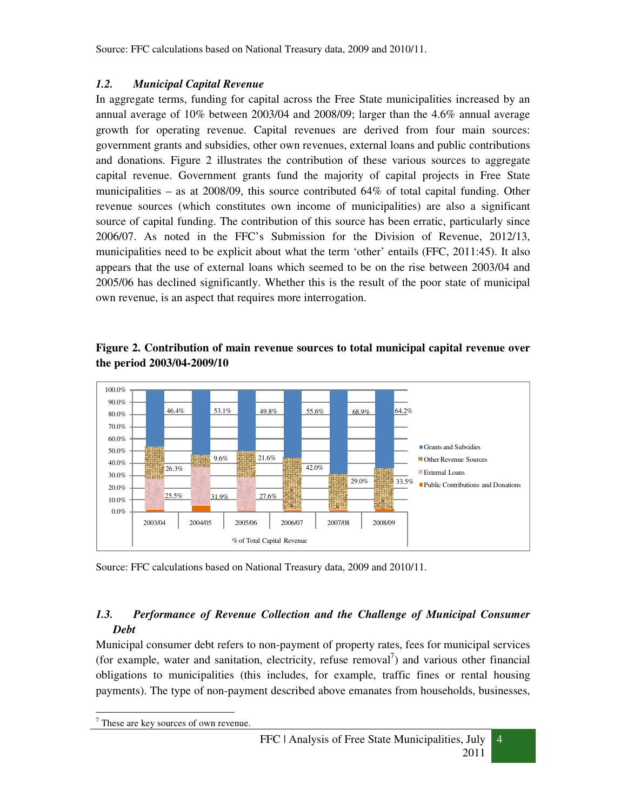# *1.2. Municipal Capital Revenue*

In aggregate terms, funding for capital across the Free State municipalities increased by an annual average of 10% between 2003/04 and 2008/09; larger than the 4.6% annual average growth for operating revenue. Capital revenues are derived from four main sources: government grants and subsidies, other own revenues, external loans and public contributions and donations. Figure 2 illustrates the contribution of these various sources to aggregate capital revenue. Government grants fund the majority of capital projects in Free State municipalities – as at 2008/09, this source contributed 64% of total capital funding. Other revenue sources (which constitutes own income of municipalities) are also a significant source of capital funding. The contribution of this source has been erratic, particularly since 2006/07. As noted in the FFC's Submission for the Division of Revenue, 2012/13, municipalities need to be explicit about what the term 'other' entails (FFC, 2011:45). It also appears that the use of external loans which seemed to be on the rise between 2003/04 and 2005/06 has declined significantly. Whether this is the result of the poor state of municipal own revenue, is an aspect that requires more interrogation.



**Figure 2. Contribution of main revenue sources to total municipal capital revenue over the period 2003/04-2009/10** 

Source: FFC calculations based on National Treasury data, 2009 and 2010/11.

# **1.3. Performance of Revenue Collection and the Challenge of Municipal Consumer** *Debt*

Municipal consumer debt refers to non-payment of property rates, fees for municipal services (for example, water and sanitation, electricity, refuse removal<sup>7</sup>) and various other financial obligations to municipalities (this includes, for example, traffic fines or rental housing payments). The type of non-payment described above emanates from households, businesses,



<sup>-</sup>7 These are key sources of own revenue.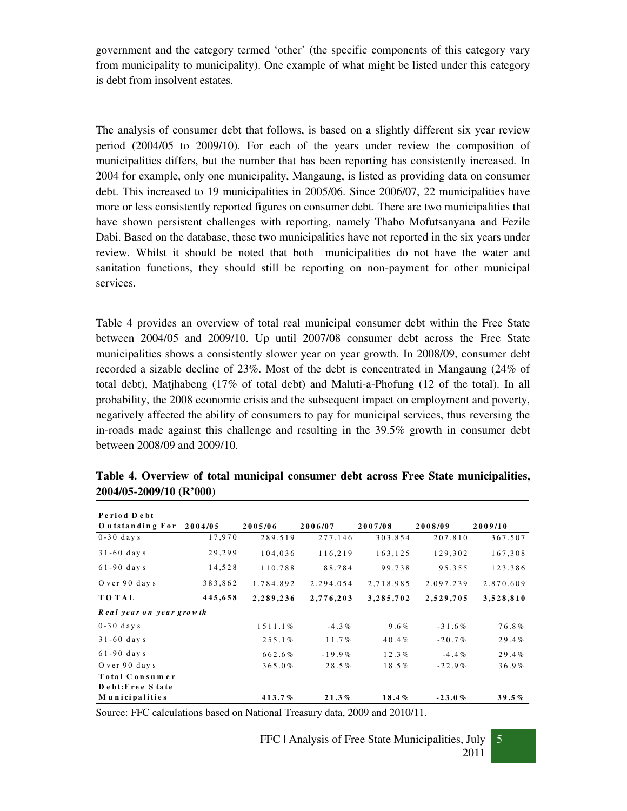government and the category termed 'other' (the specific components of this category vary from municipality to municipality). One example of what might be listed under this category is debt from insolvent estates.

The analysis of consumer debt that follows, is based on a slightly different six year review period (2004/05 to 2009/10). For each of the years under review the composition of municipalities differs, but the number that has been reporting has consistently increased. In 2004 for example, only one municipality, Mangaung, is listed as providing data on consumer debt. This increased to 19 municipalities in 2005/06. Since 2006/07, 22 municipalities have more or less consistently reported figures on consumer debt. There are two municipalities that have shown persistent challenges with reporting, namely Thabo Mofutsanyana and Fezile Dabi. Based on the database, these two municipalities have not reported in the six years under review. Whilst it should be noted that both municipalities do not have the water and sanitation functions, they should still be reporting on non-payment for other municipal services.

Table 4 provides an overview of total real municipal consumer debt within the Free State between 2004/05 and 2009/10. Up until 2007/08 consumer debt across the Free State municipalities shows a consistently slower year on year growth. In 2008/09, consumer debt recorded a sizable decline of 23%. Most of the debt is concentrated in Mangaung (24% of total debt), Matjhabeng (17% of total debt) and Maluti-a-Phofung (12 of the total). In all probability, the 2008 economic crisis and the subsequent impact on employment and poverty, negatively affected the ability of consumers to pay for municipal services, thus reversing the in-roads made against this challenge and resulting in the 39.5% growth in consumer debt between 2008/09 and 2009/10.

| Period Debt              |         |           |           |           |           |           |
|--------------------------|---------|-----------|-----------|-----------|-----------|-----------|
| Outstanding For          | 2004/05 | 2005/06   | 2006/07   | 2007/08   | 2008/09   | 2009/10   |
| $0-30$ days              | 17,970  | 289,519   | 277,146   | 303,854   | 207,810   | 367,507   |
| $31-60$ days             | 29,299  | 104,036   | 116,219   | 163,125   | 129,302   | 167,308   |
| $61-90$ days             | 14,528  | 110,788   | 88,784    | 99,738    | 95,355    | 123,386   |
| O ver 90 days            | 383,862 | 1,784,892 | 2,294,054 | 2,718,985 | 2,097,239 | 2,870,609 |
| <b>TOTAL</b>             | 445,658 | 2,289,236 | 2,776,203 | 3,285,702 | 2,529,705 | 3,528,810 |
| Real year on year growth |         |           |           |           |           |           |
| $0-30$ days              |         | 1511.1%   | $-4.3%$   | $9.6\%$   | $-31.6%$  | 76.8%     |
| $31-60$ days             |         | 255.1%    | 11.7%     | 40.4%     | $-20.7%$  | 29.4%     |
| $61-90$ days             |         | 662.6%    | $-19.9%$  | 12.3%     | $-4.4\%$  | 29.4%     |
| O ver 90 days            |         | 365.0%    | 28.5%     | 18.5%     | $-22.9%$  | 36.9%     |
| Total Consumer           |         |           |           |           |           |           |
| Debt:Free State          |         |           |           |           |           |           |
| Municipalities           |         | 413.7%    | 21.3%     | 18.4%     | $-23.0%$  | 39.5%     |

**Table 4. Overview of total municipal consumer debt across Free State municipalities, 2004/05-2009/10 (R'000)** 

Source: FFC calculations based on National Treasury data, 2009 and 2010/11.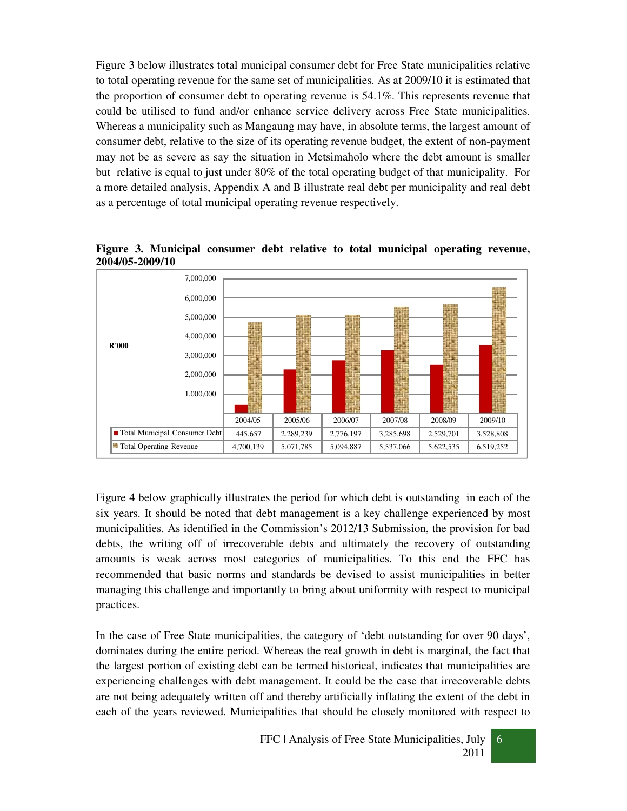Figure 3 below illustrates total municipal consumer debt for Free State municipalities relative to total operating revenue for the same set of municipalities. As at 2009/10 it is estimated that the proportion of consumer debt to operating revenue is 54.1%. This represents revenue that could be utilised to fund and/or enhance service delivery across Free State municipalities. Whereas a municipality such as Mangaung may have, in absolute terms, the largest amount of consumer debt, relative to the size of its operating revenue budget, the extent of non-payment may not be as severe as say the situation in Metsimaholo where the debt amount is smaller but relative is equal to just under 80% of the total operating budget of that municipality. For a more detailed analysis, Appendix A and B illustrate real debt per municipality and real debt as a percentage of total municipal operating revenue respectively.



**Figure 3. Municipal consumer debt relative to total municipal operating revenue, 2004/05-2009/10** 

Figure 4 below graphically illustrates the period for which debt is outstanding in each of the six years. It should be noted that debt management is a key challenge experienced by most municipalities. As identified in the Commission's 2012/13 Submission, the provision for bad debts, the writing off of irrecoverable debts and ultimately the recovery of outstanding amounts is weak across most categories of municipalities. To this end the FFC has recommended that basic norms and standards be devised to assist municipalities in better managing this challenge and importantly to bring about uniformity with respect to municipal practices.

In the case of Free State municipalities, the category of 'debt outstanding for over 90 days', dominates during the entire period. Whereas the real growth in debt is marginal, the fact that the largest portion of existing debt can be termed historical, indicates that municipalities are experiencing challenges with debt management. It could be the case that irrecoverable debts are not being adequately written off and thereby artificially inflating the extent of the debt in each of the years reviewed. Municipalities that should be closely monitored with respect to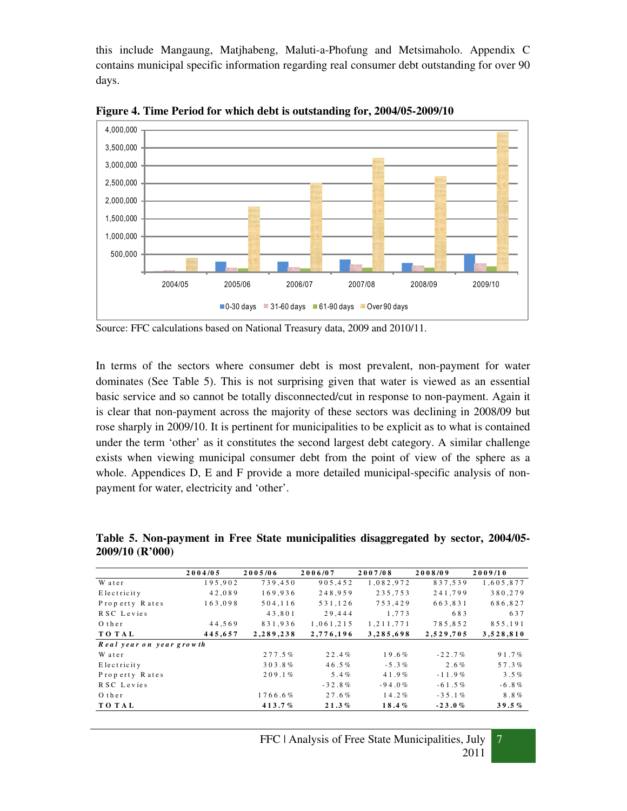this include Mangaung, Matjhabeng, Maluti-a-Phofung and Metsimaholo. Appendix C contains municipal specific information regarding real consumer debt outstanding for over 90 days.



**Figure 4. Time Period for which debt is outstanding for, 2004/05-2009/10** 

In terms of the sectors where consumer debt is most prevalent, non-payment for water dominates (See Table 5). This is not surprising given that water is viewed as an essential basic service and so cannot be totally disconnected/cut in response to non-payment. Again it is clear that non-payment across the majority of these sectors was declining in 2008/09 but rose sharply in 2009/10. It is pertinent for municipalities to be explicit as to what is contained under the term 'other' as it constitutes the second largest debt category. A similar challenge exists when viewing municipal consumer debt from the point of view of the sphere as a whole. Appendices D, E and F provide a more detailed municipal-specific analysis of nonpayment for water, electricity and 'other'.

|                          | 2004/05 | 2005/06   | 2006/07   | 2007/08         | 2008/09   | 2009/10   |
|--------------------------|---------|-----------|-----------|-----------------|-----------|-----------|
| W at er                  | 195.902 | 739.450   | 905.452   | 1,082,972       | 837.539   | 1,605,877 |
| Electricity              | 42,089  | 169,936   | 248,959   | 235,753         | 241,799   | 380,279   |
| Property Rates           | 163,098 | 504.116   | 531.126   | 753.429         | 663.831   | 686,827   |
| RSC Levies               |         | 43,801    | 29,444    | 1,773           | 683       | 637       |
| O ther                   | 44,569  | 831,936   | 1,061,215 | 1, 2 1 1, 7 7 1 | 785,852   | 855,191   |
| <b>TOTAL</b>             | 445,657 | 2,289,238 | 2,776,196 | 3,285,698       | 2,529,705 | 3,528,810 |
| Real year on year growth |         |           |           |                 |           |           |
| W at er                  |         | 277.5%    | 22.4%     | 19.6%           | $-22.7%$  | 91.7%     |
| Electricity              |         | 303.8%    | 46.5%     | $-5.3%$         | $2.6\%$   | 57.3%     |
| Property Rates           |         | 209.1%    | 5.4%      | 4 1 .9%         | $-11.9%$  | 3.5%      |
| RSC Levies               |         |           | $-32.8%$  | $-94.0%$        | $-61.5%$  | $-6.8%$   |
| O ther                   |         | 1766.6%   | 27.6%     | 14.2%           | $-35.1%$  | $8.8\%$   |
| <b>TOTAL</b>             |         | 413.7%    | 21.3%     | 18.4%           | $-23.0%$  | 39.5%     |

**Table 5. Non-payment in Free State municipalities disaggregated by sector, 2004/05- 2009/10 (R'000)** 

7

Source: FFC calculations based on National Treasury data, 2009 and 2010/11.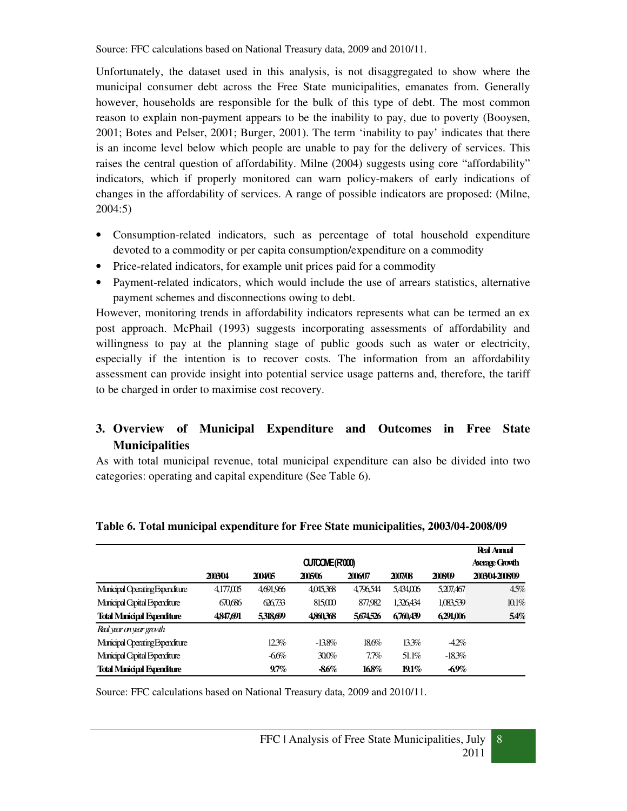Source: FFC calculations based on National Treasury data, 2009 and 2010/11.

Unfortunately, the dataset used in this analysis, is not disaggregated to show where the municipal consumer debt across the Free State municipalities, emanates from. Generally however, households are responsible for the bulk of this type of debt. The most common reason to explain non-payment appears to be the inability to pay, due to poverty (Booysen, 2001; Botes and Pelser, 2001; Burger, 2001). The term 'inability to pay' indicates that there is an income level below which people are unable to pay for the delivery of services. This raises the central question of affordability. Milne (2004) suggests using core "affordability" indicators, which if properly monitored can warn policy-makers of early indications of changes in the affordability of services. A range of possible indicators are proposed: (Milne, 2004:5)

- Consumption-related indicators, such as percentage of total household expenditure devoted to a commodity or per capita consumption/expenditure on a commodity
- Price-related indicators, for example unit prices paid for a commodity
- Payment-related indicators, which would include the use of arrears statistics, alternative payment schemes and disconnections owing to debt.

However, monitoring trends in affordability indicators represents what can be termed an ex post approach. McPhail (1993) suggests incorporating assessments of affordability and willingness to pay at the planning stage of public goods such as water or electricity, especially if the intention is to recover costs. The information from an affordability assessment can provide insight into potential service usage patterns and, therefore, the tariff to be charged in order to maximise cost recovery.

# **3. Overview of Municipal Expenditure and Outcomes in Free State Municipalities**

As with total municipal revenue, total municipal expenditure can also be divided into two categories: operating and capital expenditure (See Table 6).

|                                    |           |               |           |         |           |           | <b>Real Annual</b> |  |  |
|------------------------------------|-----------|---------------|-----------|---------|-----------|-----------|--------------------|--|--|
|                                    |           | CUTCONE(R000) |           |         |           |           |                    |  |  |
|                                    | 2003/04   | 200405        | 2005/06   | 2006/07 | 2007/08   | 2008/09   | 2003/04-2008/09    |  |  |
| Minicipal Operating Expenditure    | 4,177,005 | 4691.966      | 4,045,368 | 4796544 | 5,434,006 | 5,207,467 | 4.5%               |  |  |
| Municipal Capital Expenditure      | 670.686   | 626.733       | 815,000   | 877.982 | 1,326,434 | 1,083,539 | 10.1%              |  |  |
| <b>Total Minicipal Expenditure</b> | 4,847,691 | 5,318,699     | 4860.368  | 5674526 | 6760439   | 6291,006  | 54%                |  |  |
| Real year on year growth           |           |               |           |         |           |           |                    |  |  |
| Municipal Operating Expenditure    |           | 12.3%         | $-13.8%$  | 18.6%   | 13.3%     | $-4.2\%$  |                    |  |  |
| Municipal Capital Expenditure      |           | $-66%$        | 300%      | 7.7%    | 51.1%     | $-18.3%$  |                    |  |  |
| <b>Total Minicipal Expenditure</b> |           | 9.7%          | $-86%$    | 168%    | $19.1\%$  | $-69%$    |                    |  |  |

# **Table 6. Total municipal expenditure for Free State municipalities, 2003/04-2008/09**

Source: FFC calculations based on National Treasury data, 2009 and 2010/11.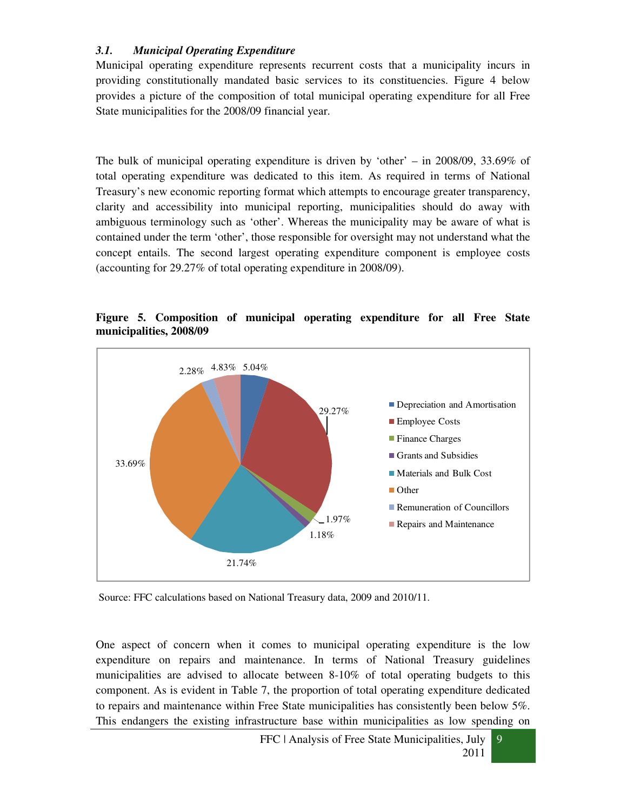# *3.1. Municipal Operating Expenditure*

Municipal operating expenditure represents recurrent costs that a municipality incurs in providing constitutionally mandated basic services to its constituencies. Figure 4 below provides a picture of the composition of total municipal operating expenditure for all Free State municipalities for the 2008/09 financial year.

The bulk of municipal operating expenditure is driven by 'other' – in 2008/09, 33.69% of total operating expenditure was dedicated to this item. As required in terms of National Treasury's new economic reporting format which attempts to encourage greater transparency, clarity and accessibility into municipal reporting, municipalities should do away with ambiguous terminology such as 'other'. Whereas the municipality may be aware of what is contained under the term 'other', those responsible for oversight may not understand what the concept entails. The second largest operating expenditure component is employee costs (accounting for 29.27% of total operating expenditure in 2008/09).



**Figure 5. Composition of municipal operating expenditure for all Free State municipalities, 2008/09** 

Source: FFC calculations based on National Treasury data, 2009 and 2010/11.

One aspect of concern when it comes to municipal operating expenditure is the low expenditure on repairs and maintenance. In terms of National Treasury guidelines municipalities are advised to allocate between 8-10% of total operating budgets to this component. As is evident in Table 7, the proportion of total operating expenditure dedicated to repairs and maintenance within Free State municipalities has consistently been below 5%. This endangers the existing infrastructure base within municipalities as low spending on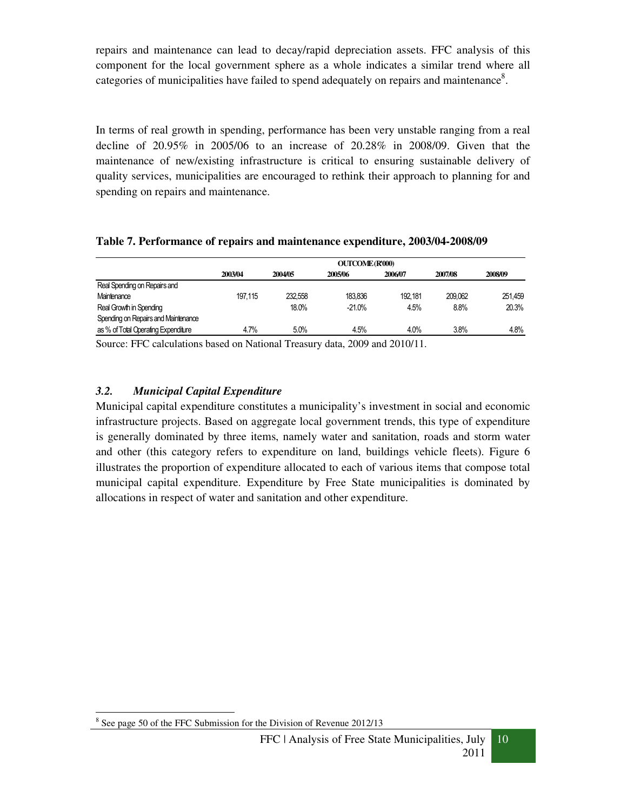repairs and maintenance can lead to decay/rapid depreciation assets. FFC analysis of this component for the local government sphere as a whole indicates a similar trend where all categories of municipalities have failed to spend adequately on repairs and maintenance<sup>8</sup>.

In terms of real growth in spending, performance has been very unstable ranging from a real decline of  $20.95\%$  in  $2005/06$  to an increase of  $20.28\%$  in  $2008/09$ . Given that the maintenance of new/existing infrastructure is critical to ensuring sustainable delivery of quality services, municipalities are encouraged to rethink their approach to planning for and spending on repairs and maintenance.

|                                     | <b>OUTCOME (R'000)</b> |         |          |         |         |         |  |  |  |
|-------------------------------------|------------------------|---------|----------|---------|---------|---------|--|--|--|
|                                     | 2003/04                | 2004/05 | 2005/06  | 2006/07 | 2007/08 | 2008/09 |  |  |  |
| Real Spending on Repairs and        |                        |         |          |         |         |         |  |  |  |
| Maintenance                         | 197.115                | 232.558 | 183.836  | 192.181 | 209.062 | 251.459 |  |  |  |
| Real Growth in Spending             |                        | 18.0%   | $-21.0%$ | 4.5%    | 8.8%    | 20.3%   |  |  |  |
| Spending on Repairs and Maintenance |                        |         |          |         |         |         |  |  |  |
| as % of Total Operating Expenditure | 4.7%                   | 5.0%    | 4.5%     | 4.0%    | 3.8%    | 4.8%    |  |  |  |

#### **Table 7. Performance of repairs and maintenance expenditure, 2003/04-2008/09**

Source: FFC calculations based on National Treasury data, 2009 and 2010/11.

#### *3.2. Municipal Capital Expenditure*

Municipal capital expenditure constitutes a municipality's investment in social and economic infrastructure projects. Based on aggregate local government trends, this type of expenditure is generally dominated by three items, namely water and sanitation, roads and storm water and other (this category refers to expenditure on land, buildings vehicle fleets). Figure 6 illustrates the proportion of expenditure allocated to each of various items that compose total municipal capital expenditure. Expenditure by Free State municipalities is dominated by allocations in respect of water and sanitation and other expenditure.



<sup>-</sup><sup>8</sup> See page 50 of the FFC Submission for the Division of Revenue 2012/13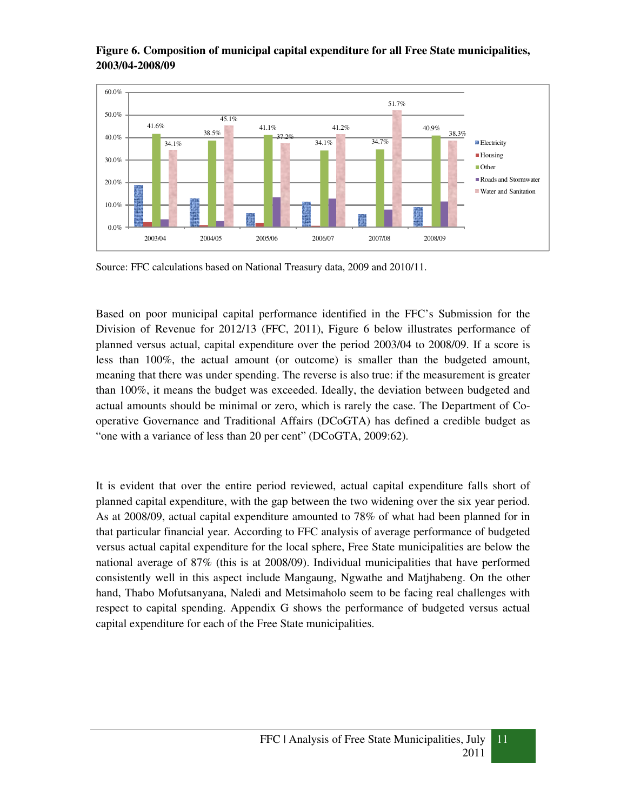

# **Figure 6. Composition of municipal capital expenditure for all Free State municipalities, 2003/04-2008/09**

Source: FFC calculations based on National Treasury data, 2009 and 2010/11.

Based on poor municipal capital performance identified in the FFC's Submission for the Division of Revenue for 2012/13 (FFC, 2011), Figure 6 below illustrates performance of planned versus actual, capital expenditure over the period 2003/04 to 2008/09. If a score is less than 100%, the actual amount (or outcome) is smaller than the budgeted amount, meaning that there was under spending. The reverse is also true: if the measurement is greater than 100%, it means the budget was exceeded. Ideally, the deviation between budgeted and actual amounts should be minimal or zero, which is rarely the case. The Department of Cooperative Governance and Traditional Affairs (DCoGTA) has defined a credible budget as "one with a variance of less than 20 per cent" (DCoGTA, 2009:62).

It is evident that over the entire period reviewed, actual capital expenditure falls short of planned capital expenditure, with the gap between the two widening over the six year period. As at 2008/09, actual capital expenditure amounted to 78% of what had been planned for in that particular financial year. According to FFC analysis of average performance of budgeted versus actual capital expenditure for the local sphere, Free State municipalities are below the national average of 87% (this is at 2008/09). Individual municipalities that have performed consistently well in this aspect include Mangaung, Ngwathe and Matjhabeng. On the other hand, Thabo Mofutsanyana, Naledi and Metsimaholo seem to be facing real challenges with respect to capital spending. Appendix G shows the performance of budgeted versus actual capital expenditure for each of the Free State municipalities.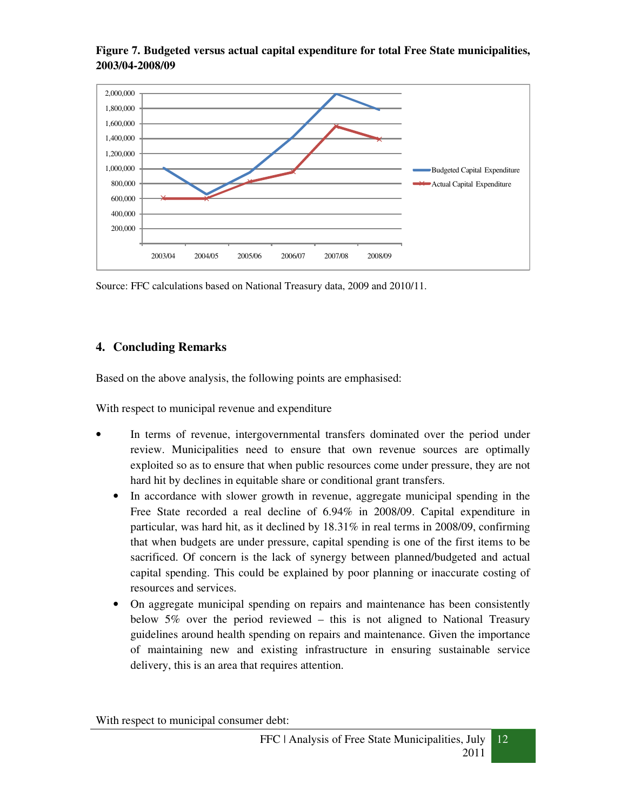

**Figure 7. Budgeted versus actual capital expenditure for total Free State municipalities, 2003/04-2008/09**

Source: FFC calculations based on National Treasury data, 2009 and 2010/11.

# **4. Concluding Remarks**

Based on the above analysis, the following points are emphasised:

With respect to municipal revenue and expenditure

- In terms of revenue, intergovernmental transfers dominated over the period under review. Municipalities need to ensure that own revenue sources are optimally exploited so as to ensure that when public resources come under pressure, they are not hard hit by declines in equitable share or conditional grant transfers.
	- In accordance with slower growth in revenue, aggregate municipal spending in the Free State recorded a real decline of 6.94% in 2008/09. Capital expenditure in particular, was hard hit, as it declined by 18.31% in real terms in 2008/09, confirming that when budgets are under pressure, capital spending is one of the first items to be sacrificed. Of concern is the lack of synergy between planned/budgeted and actual capital spending. This could be explained by poor planning or inaccurate costing of resources and services.
	- On aggregate municipal spending on repairs and maintenance has been consistently below 5% over the period reviewed – this is not aligned to National Treasury guidelines around health spending on repairs and maintenance. Given the importance of maintaining new and existing infrastructure in ensuring sustainable service delivery, this is an area that requires attention.

With respect to municipal consumer debt: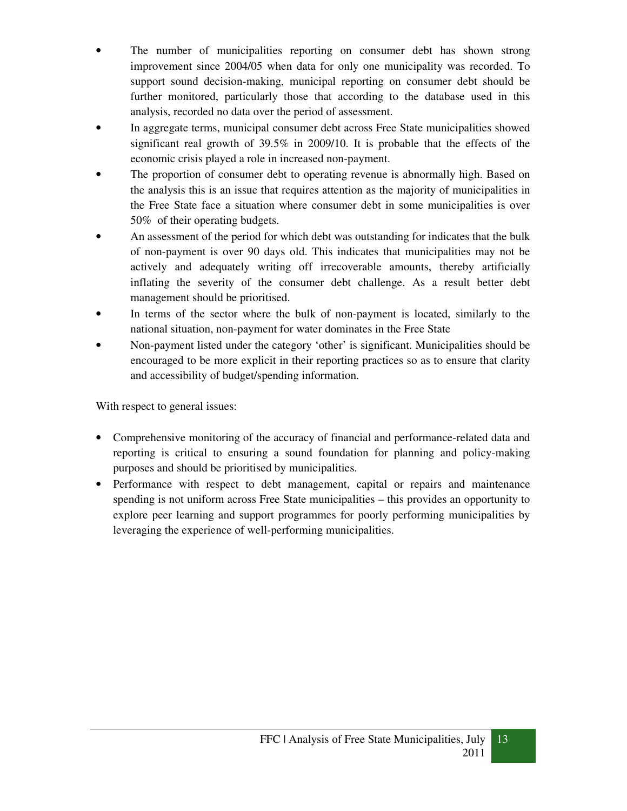- The number of municipalities reporting on consumer debt has shown strong improvement since 2004/05 when data for only one municipality was recorded. To support sound decision-making, municipal reporting on consumer debt should be further monitored, particularly those that according to the database used in this analysis, recorded no data over the period of assessment.
- In aggregate terms, municipal consumer debt across Free State municipalities showed significant real growth of 39.5% in 2009/10. It is probable that the effects of the economic crisis played a role in increased non-payment.
- The proportion of consumer debt to operating revenue is abnormally high. Based on the analysis this is an issue that requires attention as the majority of municipalities in the Free State face a situation where consumer debt in some municipalities is over 50% of their operating budgets.
- An assessment of the period for which debt was outstanding for indicates that the bulk of non-payment is over 90 days old. This indicates that municipalities may not be actively and adequately writing off irrecoverable amounts, thereby artificially inflating the severity of the consumer debt challenge. As a result better debt management should be prioritised.
- In terms of the sector where the bulk of non-payment is located, similarly to the national situation, non-payment for water dominates in the Free State
- Non-payment listed under the category 'other' is significant. Municipalities should be encouraged to be more explicit in their reporting practices so as to ensure that clarity and accessibility of budget/spending information.

With respect to general issues:

- Comprehensive monitoring of the accuracy of financial and performance-related data and reporting is critical to ensuring a sound foundation for planning and policy-making purposes and should be prioritised by municipalities.
- Performance with respect to debt management, capital or repairs and maintenance spending is not uniform across Free State municipalities – this provides an opportunity to explore peer learning and support programmes for poorly performing municipalities by leveraging the experience of well-performing municipalities.

13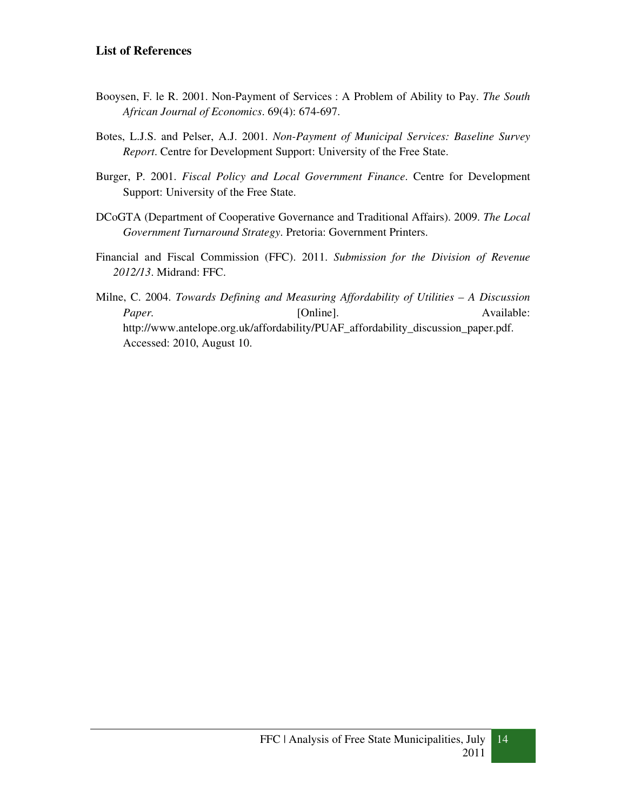# **List of References**

- Booysen, F. le R. 2001. Non-Payment of Services : A Problem of Ability to Pay. *The South African Journal of Economics*. 69(4): 674-697.
- Botes, L.J.S. and Pelser, A.J. 2001. *Non-Payment of Municipal Services: Baseline Survey Report*. Centre for Development Support: University of the Free State.
- Burger, P. 2001. *Fiscal Policy and Local Government Finance*. Centre for Development Support: University of the Free State.
- DCoGTA (Department of Cooperative Governance and Traditional Affairs). 2009. *The Local Government Turnaround Strategy*. Pretoria: Government Printers.
- Financial and Fiscal Commission (FFC). 2011. *Submission for the Division of Revenue 2012/13*. Midrand: FFC.
- Milne, C. 2004. *Towards Defining and Measuring Affordability of Utilities A Discussion Paper.* [Online]. **Available: Available: Available:** http://www.antelope.org.uk/affordability/PUAF\_affordability\_discussion\_paper.pdf. Accessed: 2010, August 10.

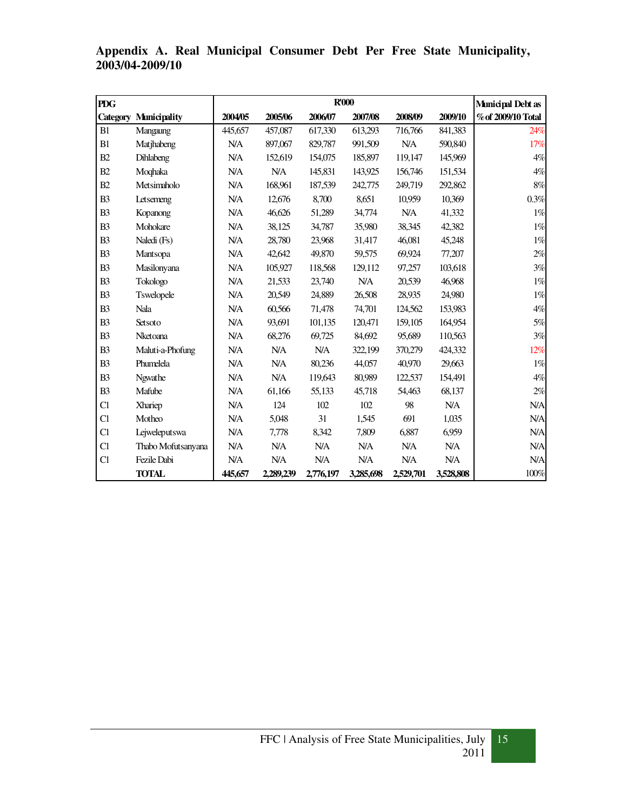| <b>PDG</b>      |                     |            |           |           | R'000      |            |           | Municipal Debt as  |
|-----------------|---------------------|------------|-----------|-----------|------------|------------|-----------|--------------------|
| <b>Category</b> | <b>Municipality</b> | 2004/05    | 2005/06   | 2006/07   | 2007/08    | 2008/09    | 2009/10   | % of 2009/10 Total |
| B1              | Mangaung            | 445,657    | 457,087   | 617,330   | 613,293    | 716,766    | 841,383   | 24%                |
| B1              | Matjhabeng          | N/A        | 897,067   | 829,787   | 991,509    | NA         | 590,840   | 17%                |
| B2              | Dihlabeng           | N/A        | 152,619   | 154,075   | 185,897    | 119,147    | 145,969   | 4%                 |
| B2              | Moqhaka             | <b>N/A</b> | N/A       | 145,831   | 143,925    | 156,746    | 151,534   | $4\%$              |
| B2              | Metsimaholo         | N/A        | 168,961   | 187,539   | 242,775    | 249,719    | 292,862   | $8\%$              |
| B <sub>3</sub>  | Letsemeng           | N/A        | 12,676    | 8,700     | 8,651      | 10,959     | 10,369    | $0.3\%$            |
| B <sub>3</sub>  | Kopanong            | <b>N/A</b> | 46,626    | 51,289    | 34,774     | <b>N/A</b> | 41,332    | $1\%$              |
| B <sub>3</sub>  | Mohokare            | N/A        | 38,125    | 34,787    | 35,980     | 38,345     | 42,382    | $1\%$              |
| B <sub>3</sub>  | Naledi (Fs)         | <b>N/A</b> | 28,780    | 23,968    | 31,417     | 46,081     | 45,248    | $1\%$              |
| B <sub>3</sub>  | Mantsopa            | N/A        | 42,642    | 49,870    | 59,575     | 69,924     | 77,207    | 2%                 |
| B <sub>3</sub>  | Masilonyana         | N/A        | 105,927   | 118,568   | 129,112    | 97,257     | 103,618   | 3%                 |
| B <sub>3</sub>  | Tokologo            | <b>N/A</b> | 21,533    | 23,740    | <b>N/A</b> | 20,539     | 46,968    | $1\%$              |
| B <sub>3</sub>  | Tswelopele          | N/A        | 20,549    | 24,889    | 26,508     | 28,935     | 24,980    | $1\%$              |
| B <sub>3</sub>  | Nala                | N/A        | 60,566    | 71,478    | 74,701     | 124,562    | 153,983   | $4\%$              |
| B <sub>3</sub>  | Setsoto             | N/A        | 93,691    | 101,135   | 120,471    | 159,105    | 164,954   | $5\%$              |
| B <sub>3</sub>  | Nketoana            | N/A        | 68,276    | 69,725    | 84,692     | 95,689     | 110,563   | 3%                 |
| B <sub>3</sub>  | Maluti-a-Phofung    | N/A        | N/A       | N/A       | 322,199    | 370,279    | 424,332   | 12%                |
| B <sub>3</sub>  | Phumelela           | N/A        | N/A       | 80,236    | 44,057     | 40,970     | 29,663    | $1\%$              |
| B <sub>3</sub>  | Ngwathe             | N/A        | N/A       | 119,643   | 80,989     | 122,537    | 154,491   | 4%                 |
| B <sub>3</sub>  | Mafube              | N/A        | 61,166    | 55,133    | 45,718     | 54,463     | 68,137    | 2%                 |
| C1              | Xhariep             | N/A        | 124       | 102       | 102        | 98         | N/A       | <b>N/A</b>         |
| C1              | Motheo              | <b>N/A</b> | 5,048     | 31        | 1,545      | 691        | 1,035     | <b>N/A</b>         |
| C1              | Lejweleputswa       | N/A        | 7,778     | 8,342     | 7,809      | 6,887      | 6,959     | <b>N/A</b>         |
| C1              | Thabo Mofutsanyana  | N/A        | N/A       | N/A       | N/A        | N/A        | N/A       | N/A                |
| C1              | Fezile Dabi         | N/A        | N/A       | N/A       | <b>N/A</b> | N/A        | N/A       | <b>N/A</b>         |
|                 | <b>TOTAL</b>        | 445,657    | 2,289,239 | 2,776,197 | 3,285,698  | 2,529,701  | 3,528,808 | $100\%$            |

**Appendix A. Real Municipal Consumer Debt Per Free State Municipality, 2003/04-2009/10**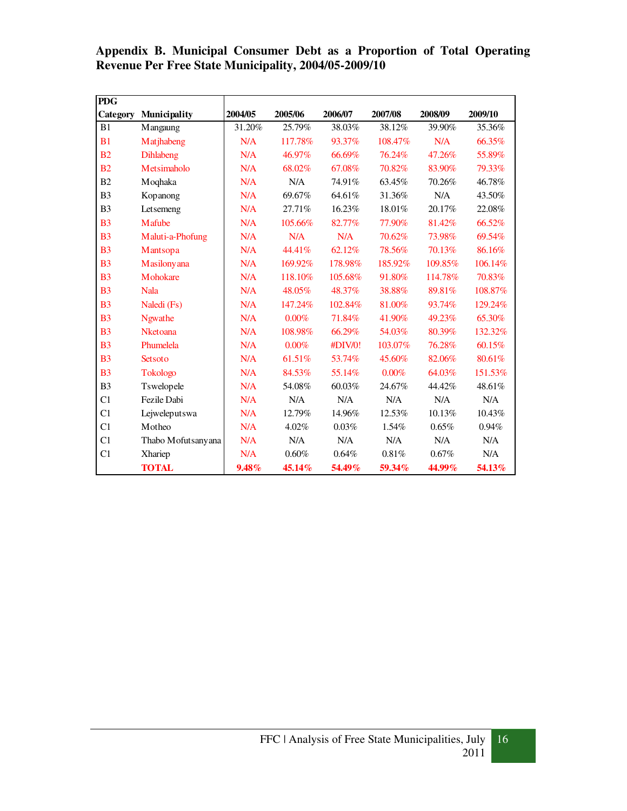**Appendix B. Municipal Consumer Debt as a Proportion of Total Operating Revenue Per Free State Municipality, 2004/05-2009/10** 

| <b>PDG</b>     |                     |         |         |         |         |         |         |
|----------------|---------------------|---------|---------|---------|---------|---------|---------|
| Category       | Municipality        | 2004/05 | 2005/06 | 2006/07 | 2007/08 | 2008/09 | 2009/10 |
| B1             | Mangaung            | 31.20%  | 25.79%  | 38.03%  | 38.12%  | 39.90%  | 35.36%  |
| B <sub>1</sub> | Matjhabeng          | N/A     | 117.78% | 93.37%  | 108.47% | N/A     | 66.35%  |
| B <sub>2</sub> | <b>Dihlabeng</b>    | N/A     | 46.97%  | 66.69%  | 76.24%  | 47.26%  | 55.89%  |
| B <sub>2</sub> | Metsimaholo         | N/A     | 68.02%  | 67.08%  | 70.82%  | 83.90%  | 79.33%  |
| B <sub>2</sub> | Moqhaka             | N/A     | N/A     | 74.91%  | 63.45%  | 70.26%  | 46.78%  |
| B <sub>3</sub> | Kopanong            | N/A     | 69.67%  | 64.61%  | 31.36%  | N/A     | 43.50%  |
| B <sub>3</sub> | Letsemeng           | N/A     | 27.71%  | 16.23%  | 18.01%  | 20.17%  | 22.08%  |
| B <sub>3</sub> | Mafube              | N/A     | 105.66% | 82.77%  | 77.90%  | 81.42%  | 66.52%  |
| B <sub>3</sub> | Maluti-a-Phofung    | N/A     | N/A     | N/A     | 70.62%  | 73.98%  | 69.54%  |
| B <sub>3</sub> | Mantsopa            | N/A     | 44.41%  | 62.12%  | 78.56%  | 70.13%  | 86.16%  |
| B <sub>3</sub> | Masilonyana         | N/A     | 169.92% | 178.98% | 185.92% | 109.85% | 106.14% |
| B <sub>3</sub> | Mohokare            | N/A     | 118.10% | 105.68% | 91.80%  | 114.78% | 70.83%  |
| B <sub>3</sub> | <b>Nala</b>         | N/A     | 48.05%  | 48.37%  | 38.88%  | 89.81%  | 108.87% |
| B <sub>3</sub> | Naledi (Fs)         | N/A     | 147.24% | 102.84% | 81.00%  | 93.74%  | 129.24% |
| B <sub>3</sub> | <b>Ngwathe</b>      | N/A     | 0.00%   | 71.84%  | 41.90%  | 49.23%  | 65.30%  |
| B <sub>3</sub> | <b>Nketoana</b>     | N/A     | 108.98% | 66.29%  | 54.03%  | 80.39%  | 132.32% |
| B <sub>3</sub> | Phumelela           | N/A     | 0.00%   | #DIV/0! | 103.07% | 76.28%  | 60.15%  |
| B <sub>3</sub> | Setsoto             | N/A     | 61.51%  | 53.74%  | 45.60%  | 82.06%  | 80.61%  |
| B <sub>3</sub> | <b>Tokologo</b>     | N/A     | 84.53%  | 55.14%  | 0.00%   | 64.03%  | 151.53% |
| B <sub>3</sub> | Tswelopele          | N/A     | 54.08%  | 60.03%  | 24.67%  | 44.42%  | 48.61%  |
| C <sub>1</sub> | Fezile Dabi         | N/A     | N/A     | N/A     | N/A     | N/A     | N/A     |
| C <sub>1</sub> | Lejweleputswa       | N/A     | 12.79%  | 14.96%  | 12.53%  | 10.13%  | 10.43%  |
| C1             | Motheo              | N/A     | 4.02%   | 0.03%   | 1.54%   | 0.65%   | 0.94%   |
| C <sub>1</sub> | Thabo Mofutsany ana | N/A     | N/A     | N/A     | N/A     | N/A     | N/A     |
| C <sub>1</sub> | Xhariep             | N/A     | 0.60%   | 0.64%   | 0.81%   | 0.67%   | N/A     |
|                | <b>TOTAL</b>        | 9.48%   | 45.14%  | 54.49%  | 59.34%  | 44.99%  | 54.13%  |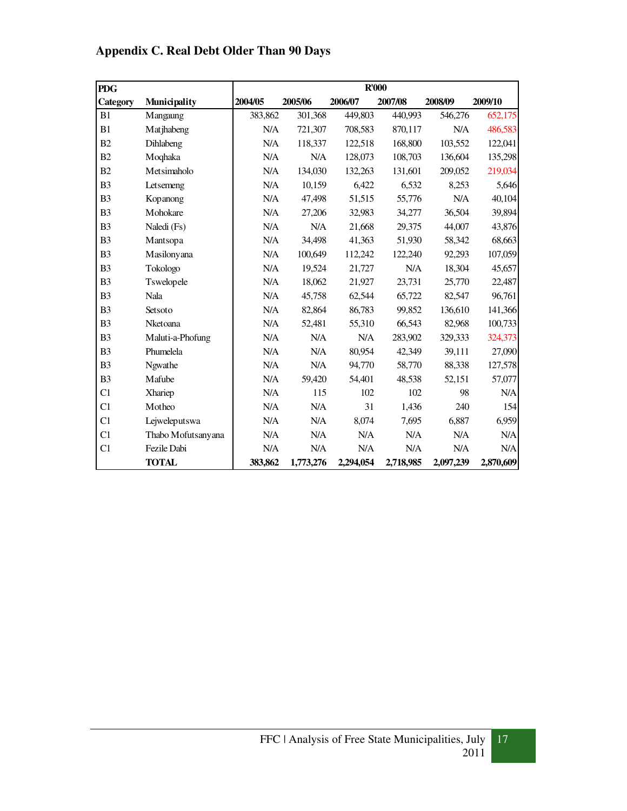| <b>Appendix C. Real Debt Older Than 90 Days</b> |  |  |  |  |  |  |
|-------------------------------------------------|--|--|--|--|--|--|
|-------------------------------------------------|--|--|--|--|--|--|

| <b>PDG</b>     |                    |         |           |           | R'000     |           |           |
|----------------|--------------------|---------|-----------|-----------|-----------|-----------|-----------|
| Category       | Municipality       | 2004/05 | 2005/06   | 2006/07   | 2007/08   | 2008/09   | 2009/10   |
| B1             | Mangaung           | 383,862 | 301,368   | 449,803   | 440.993   | 546,276   | 652,175   |
| B1             | Matjhabeng         | N/A     | 721,307   | 708,583   | 870,117   | N/A       | 486,583   |
| B <sub>2</sub> | Dihlabeng          | N/A     | 118,337   | 122,518   | 168,800   | 103,552   | 122,041   |
| B <sub>2</sub> | Moqhaka            | N/A     | N/A       | 128,073   | 108,703   | 136,604   | 135,298   |
| B <sub>2</sub> | Metsimaholo        | N/A     | 134,030   | 132,263   | 131,601   | 209,052   | 219,034   |
| B <sub>3</sub> | Letsemeng          | N/A     | 10,159    | 6,422     | 6,532     | 8,253     | 5,646     |
| B <sub>3</sub> | Kopanong           | N/A     | 47,498    | 51,515    | 55,776    | N/A       | 40,104    |
| B <sub>3</sub> | Mohokare           | N/A     | 27,206    | 32,983    | 34,277    | 36,504    | 39,894    |
| B <sub>3</sub> | Naledi (Fs)        | N/A     | N/A       | 21,668    | 29,375    | 44,007    | 43,876    |
| B <sub>3</sub> | Mantsopa           | N/A     | 34,498    | 41,363    | 51,930    | 58,342    | 68,663    |
| B <sub>3</sub> | Masilonyana        | N/A     | 100,649   | 112,242   | 122,240   | 92,293    | 107,059   |
| B <sub>3</sub> | Tokologo           | N/A     | 19,524    | 21,727    | N/A       | 18,304    | 45,657    |
| B <sub>3</sub> | Tswelopele         | N/A     | 18,062    | 21,927    | 23,731    | 25,770    | 22,487    |
| B <sub>3</sub> | Nala               | N/A     | 45,758    | 62,544    | 65,722    | 82,547    | 96,761    |
| B <sub>3</sub> | Setsoto            | N/A     | 82,864    | 86,783    | 99,852    | 136,610   | 141,366   |
| B <sub>3</sub> | Nketoana           | N/A     | 52,481    | 55,310    | 66,543    | 82,968    | 100,733   |
| B <sub>3</sub> | Maluti-a-Phofung   | N/A     | N/A       | N/A       | 283,902   | 329,333   | 324,373   |
| B <sub>3</sub> | Phumelela          | N/A     | N/A       | 80,954    | 42,349    | 39,111    | 27,090    |
| B <sub>3</sub> | Ngwathe            | N/A     | N/A       | 94,770    | 58,770    | 88,338    | 127,578   |
| B <sub>3</sub> | Mafube             | N/A     | 59,420    | 54,401    | 48,538    | 52,151    | 57,077    |
| C1             | Xhariep            | N/A     | 115       | 102       | 102       | 98        | N/A       |
| C1             | Motheo             | N/A     | N/A       | 31        | 1,436     | 240       | 154       |
| C <sub>1</sub> | Lejweleputswa      | N/A     | N/A       | 8,074     | 7,695     | 6,887     | 6,959     |
| C1             | Thabo Mofutsanyana | N/A     | N/A       | N/A       | N/A       | N/A       | N/A       |
| C <sub>1</sub> | Fezile Dabi        | N/A     | N/A       | N/A       | N/A       | N/A       | N/A       |
|                | <b>TOTAL</b>       | 383,862 | 1,773,276 | 2,294,054 | 2,718,985 | 2,097,239 | 2,870,609 |

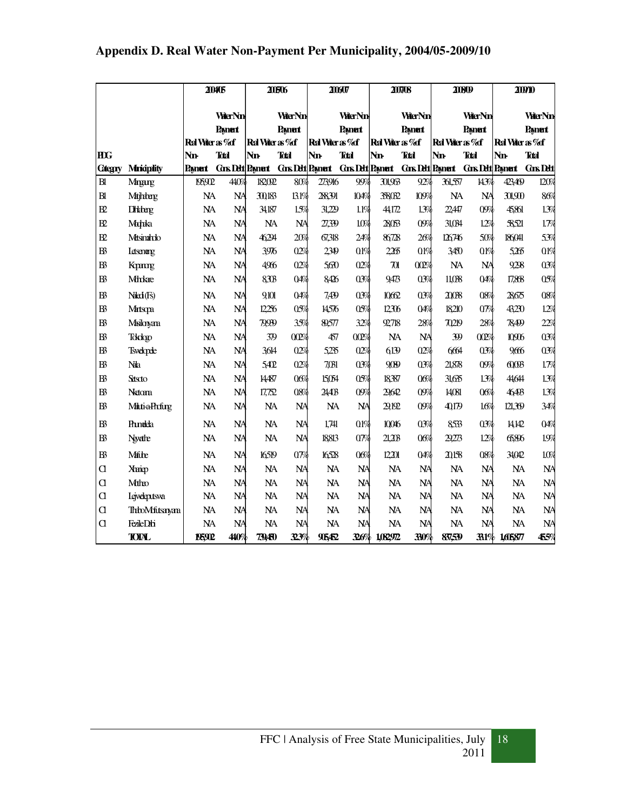|                |                       | 200405          |                |                         | 20506                  |                 | 20607                  |                    | 207/08                 |                 | 20809                   |                   | 200710          |
|----------------|-----------------------|-----------------|----------------|-------------------------|------------------------|-----------------|------------------------|--------------------|------------------------|-----------------|-------------------------|-------------------|-----------------|
|                |                       |                 | <b>WerNn</b>   |                         | <b>WerNn</b>           |                 | <b>WarNn</b>           |                    | <b>WarNn</b>           |                 | <b>WarNn</b>            |                   | <b>WerNn</b>    |
|                |                       |                 | <b>Payment</b> |                         | <b>Payment</b>         |                 | <b>Payment</b>         |                    | <b>Payment</b>         |                 | <b>Payment</b>          |                   | <b>Payment</b>  |
|                |                       | Ral Viter as %f |                | Red Viter as %f         |                        | Red Viter as %f |                        | Ral Vater as %f    |                        | Ral Vater as %f |                         | Ral Vater as % of |                 |
| <b>HIG</b>     |                       | Nn              | <b>Total</b>   | <b>Nn</b>               | <b>Total</b>           | <b>Nn</b>       | <b>Tdal</b>            | Nn                 | <b>Total</b>           | <b>Nn</b>       | <b>Tdal</b>             | Nn                | <b>Total</b>    |
| <b>Categry</b> | <b>Minicipality</b>   | Pamert          |                | <b>Gns Dett Paynert</b> | <b>Gns Dett Pament</b> |                 | <b>Gns Dett Pament</b> |                    | <b>Gns Dett Pament</b> |                 | <b>Gns Dett Paynert</b> |                   | <b>Gns Dett</b> |
| B1             | Mangung               | 1959D           | 440%           | 182092                  | 80%                    | 273916          | 99%                    | 301,963            | 92%                    | 361,557         | 143%                    | 423469            | 120%            |
| B1             | Mtjhberg              | <b>NA</b>       | <b>NA</b>      | 30183                   | 131%                   | 28391           | 104%                   | 38032              | 109%                   | <b>NA</b>       | <b>NA</b>               | 301.900           | 86%             |
| R              | <b>Diddeng</b>        | <b>NA</b>       | <b>NA</b>      | 34,187                  | 15%                    | 31,229          | 11%                    | 44,172             | 1.3%                   | 2247            | 09%                     | 45,861            | 1.3%            |
| $\mathbf{E}$   | Mahka                 | <b>NA</b>       | <b>NA</b>      | <b>NA</b>               | <b>NA</b>              | 27,339          | 10%                    | 28063              | 09%                    | 31,034          | 12%                     | 58,521            | 17%             |
| $_{\rm B2}$    | Musinando             | <b>NA</b>       | <b>NA</b>      | 46294                   | 20%                    | 67,318          | 24%                    | 86728              | 26%                    | 126746          | 50%                     | 186041            | 53%             |
| $B\bar{B}$     | <b>Letsenang</b>      | <b>NA</b>       | <b>NA</b>      | 3976                    | 02%                    | 2349            | 01%                    | 2265               | 01%                    | 3450            | 01%                     | 5265              | 01%             |
| B              | Komp                  | <b>NA</b>       | <b>NA</b>      | 4966                    | 02%                    | 560             | 02%                    | $\boldsymbol{\pi}$ | 002%                   | <b>NA</b>       | <b>NA</b>               | 928               | 03%             |
| B              | <b>Mh</b> dae         | NA              | <b>NA</b>      | 830B                    | 04%                    | 8426            | 03%                    | 9473               | 03%                    | 11,038          | 04%                     | 17,868            | 05%             |
| B <sub>3</sub> | Naci (Fs)             | <b>NA</b>       | <b>NA</b>      | 9101                    | 04%                    | 7,439           | 03%                    | 10662              | 03%                    | 2008            | 08%                     | 28675             | 08%             |
| B              | Matsopa               | <b>NA</b>       | <b>NA</b>      | 12256                   | 05%                    | 14576           | 05%                    | 12306              | 04%                    | 18210           | $0\%$                   | 43230             | 12%             |
| B              | Msilonyana            | <b>NA</b>       | <b>NA</b>      | 79999                   | 35%                    | 89,577          | 32%                    | 92,718             | 28%                    | 70219           | 28%                     | 78499             | 22%             |
| B              | Tokologo              | <b>NA</b>       | <b>NA</b>      | 379                     | 002%                   | 457             | 002%                   | NA                 | <b>NA</b>              | <u>W</u>        | 002%                    | 10906             | 03%             |
| $B\bar{B}$     | <b>Tsvelopele</b>     | NA              | <b>NA</b>      | 3614                    | 02%                    | 5,235           | 02%                    | 6139               | 02%                    | 664             | 03%                     | 9666              | 03%             |
| B <sub>3</sub> | <b>Na</b>             | <b>NA</b>       | <b>NA</b>      | 5402                    | 02%                    | 7.031           | 03%                    | 9009               | 03%                    | 21.878          | 09%                     | 600B              | 17%             |
| B              | Setsoto               | <b>NA</b>       | <b>NA</b>      | 14487                   | 06%                    | 15054           | 05%                    | 18387              | 06%                    | 3165            | 13%                     | 44.644            | 1.3%            |
| $B\bar{B}$     | Netom                 | <b>NA</b>       | <b>NA</b>      | 17,752                  | 08%                    | 24403           | 09%                    | 29642              | 09%                    | 14081           | 06%                     | 46493             | 1.3%            |
| B              | <b>Mati-a-Profing</b> | <b>NA</b>       | NA             | NA                      | <b>NA</b>              | NA              | <b>NA</b>              | 29,192             | 09%                    | 40179           | 16%                     | 121.39            | 34%             |
| B              | Prunelela             | NA              | <b>NA</b>      | <b>NA</b>               | <b>NA</b>              | 1,741           | 01%                    | 10046              | 03%                    | 8533            | 03%                     | 14142             | 04%             |
| B              | Nevathe               | <b>NA</b>       | <b>NA</b>      | <b>NA</b>               | <b>NA</b>              | 18813           | $0\%$                  | 21,208             | 06%                    | 29273           | 12%                     | 6586              | 19%             |
| B              | <b>Mitte</b>          | <b>NA</b>       | <b>NA</b>      | 16519                   | $0\%$                  | 16528           | 06%                    | 12201              | 04%                    | 20158           | 08%                     | 34.042            | 10%             |
| a              | <b>Xuip</b>           | NA              | <b>NA</b>      | <b>NA</b>               | <b>NA</b>              | <b>NA</b>       | <b>NA</b>              | <b>NA</b>          | <b>NA</b>              | <b>NA</b>       | <b>NA</b>               | NA                | $N_A$           |
| $\alpha$       | Mtho                  | <b>NA</b>       | <b>NA</b>      | <b>NA</b>               | <b>NA</b>              | <b>NA</b>       | <b>NA</b>              | <b>NA</b>          | <b>NA</b>              | <b>NA</b>       | <b>NA</b>               | <b>NA</b>         | $N_A$           |
| $\alpha$       | <b>I</b> ejveleptsva  | NA              | <b>NA</b>      | NA                      | <b>NA</b>              | NA              | <b>NA</b>              | NA                 | <b>NA</b>              | NA              | <b>NA</b>               | <b>NA</b>         | <b>NA</b>       |
| d              | <b>ThioMfitsayan</b>  | NA              | <b>NA</b>      | <b>NA</b>               | <b>NA</b>              | <b>NA</b>       | <b>NA</b>              | <b>NA</b>          | <b>NA</b>              | <b>NA</b>       | <b>NA</b>               | <b>NA</b>         | <b>NA</b>       |
| a              | FezileDbi             | <b>NA</b>       | <b>NA</b>      | <b>NA</b>               | <b>NA</b>              | <b>NA</b>       | <b>NA</b>              | <b>NA</b>          | <b>NA</b>              | <b>NA</b>       | <b>NA</b>               | <b>NA</b>         | <b>NA</b>       |
|                | <b>TOTAL</b>          | 195902          | 440%           | 79450                   | 323%                   | 96452           | 326%                   | 1,082972           | 330%                   | 87,59           | 33.1%                   | 1,605877          | 455%            |

# **Appendix D. Real Water Non-Payment Per Municipality, 2004/05-2009/10**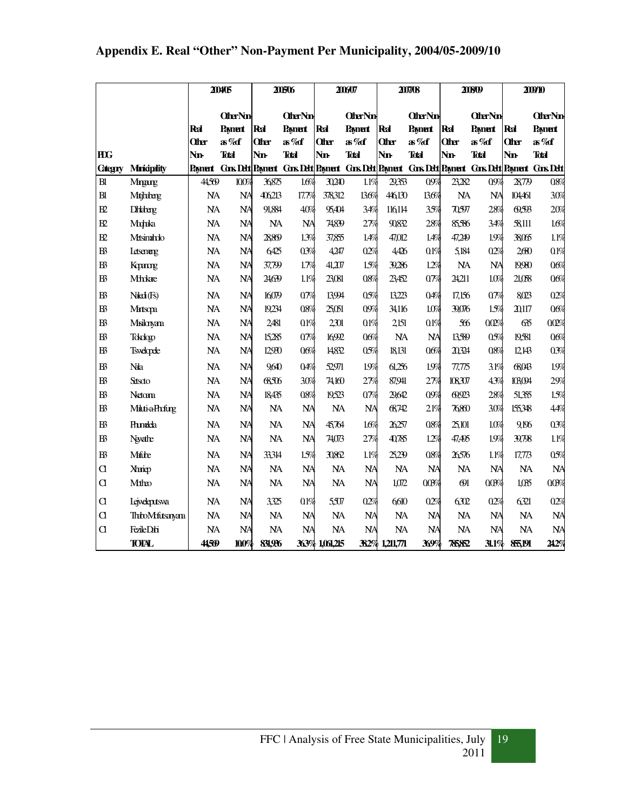|                 |                                  |           | 200405                                                    |              | 200506         |                | 2006/07        |                | 2007/08        |              | 20809          |              | 200910                                               |
|-----------------|----------------------------------|-----------|-----------------------------------------------------------|--------------|----------------|----------------|----------------|----------------|----------------|--------------|----------------|--------------|------------------------------------------------------|
|                 |                                  |           | <b>Other Nm</b>                                           |              | <b>OtherNm</b> |                | <b>OtherNm</b> |                | <b>OtherNm</b> |              | <b>OtherNm</b> |              | <b>OtherNm</b>                                       |
|                 |                                  | Ral       | <b>Payment</b>                                            | Real         | <b>Payment</b> | Real           | <b>Payment</b> | Ral            | <b>Payment</b> | Ral          | Paynent        | Ral          | <b>Payment</b>                                       |
|                 |                                  | Other     | as%df                                                     | <b>Other</b> | as%of          | <b>Oter</b>    | as%of          | <b>Oter</b>    | as%of          | <b>Olter</b> | as%of          | <b>Other</b> | as%df                                                |
| <b>HDG</b>      |                                  | Nn-       | <b>Tdal</b>                                               | <b>Nn</b>    | <b>Tdal</b>    | Nn-            | <b>Tatal</b>   | Nn-            | <b>Tdal</b>    | Nn.          | <b>Total</b>   | Nn.          | <b>Total</b>                                         |
| <b>Categry</b>  | <b>Minicipality</b>              | Pament    | <b>Gos Dett Payment Gos Dett Payment Gos Dett Payment</b> |              |                |                |                |                |                |              |                |              | <b>Gors Delt Payment Gors Delt Payment Gors Delt</b> |
| B1              | Mnang                            | 44,569    | 100%                                                      | 36875        | 1.6%           | 30240          | 1.1%           | 29,353         | 09%            | 23,282       | 09%            | 2879         | 08%                                                  |
| B1              | Mtjhberg                         | <b>NA</b> | <b>NA</b>                                                 | 406213       | 17.7%          | 378312         | 13.6%          | 446130         | 136%           | <b>NA</b>    | <b>NA</b>      | 104,461      | 30%                                                  |
| $\overline{B2}$ | <b>Dihidreng</b>                 | <b>NA</b> | <b>NA</b>                                                 | 91,884       | 40%            | 95404          | 34%            | 116114         | 35%            | 70,597       | 28%            | 0,993        | 20%                                                  |
| $\mathbf{E}$    | Mohka                            | <b>NA</b> | <b>NA</b>                                                 | <b>NA</b>    | <b>NA</b>      | 74839          | 27%            | 90832          | 28%            | 85,586       | 34%            | 58,111       | 1.6%                                                 |
| B2              | Mtsinahdo                        | <b>NA</b> | <b>NA</b>                                                 | 2889         | 1.3%           | 37,855         | 1.4%           | 47,012         | 1.4%           | 47,249       | 19%            | 38065        | 1.1%                                                 |
| B <sup>3</sup>  | <b>Letsenerg</b>                 | <b>NA</b> | <b>NA</b>                                                 | 6425         | 03%            | 4,247          | 02%            | 4426           | 01%            | 5,184        | 02%            | 2680         | 01%                                                  |
| B <sup>3</sup>  | Kopme                            | <b>NA</b> | <b>NA</b>                                                 | 37,799       | 1.7%           | 41,207         | 1.5%           | 39,286         | 12%            | <b>NA</b>    | <b>NA</b>      | 1990         | 06%                                                  |
| B <sup>3</sup>  | Mhkae                            | <b>NA</b> | <b>NA</b>                                                 | 24,639       | 1.1%           | 23,081         | 08%            | 23,452         | $0\%$          | 24,211       | 10%            | 21,058       | 06%                                                  |
| B <sup>3</sup>  | N <sub>l</sub> (F <sub>s</sub> ) | <b>NA</b> | <b>NA</b>                                                 | 16079        | 07%            | 13994          | 05%            | 13,223         | 04%            | 17,156       | $0\%$          | 8023         | 02%                                                  |
| B <sup>3</sup>  | Mirtsqa                          | <b>NA</b> | <b>NA</b>                                                 | 19234        | 08%            | 25,051         | 09%            | 34,116         | 10%            | 39,076       | 1.5%           | 20,117       | 06%                                                  |
| B <sup>3</sup>  | Msilonyana                       | <b>NA</b> | <b>NA</b>                                                 | 2481         | 01%            | 2301           | 01%            | 2.151          | 01%            | 566          | 002%           | 635          | 002%                                                 |
| $B\!$           | Tokologo                         | <b>NA</b> | <b>NA</b>                                                 | 15285        | $0\%$          | 16992          | 06%            | NA             | <b>NA</b>      | 13589        | 05%            | 19,581       | 06%                                                  |
| $B\!$           | <b>Tsvelopele</b>                | <b>NA</b> | <b>NA</b>                                                 | 12930        | 06%            | 14832          | 05%            | 18,131         | 06%            | 20,324       | 08%            | 12,143       | 03%                                                  |
| B <sup>3</sup>  | Nala                             | <b>NA</b> | <b>NA</b>                                                 | 9640         | 04%            | 52971          | 1.9%           | 61,256         | 1.9%           | 77.775       | 31%            | 68,043       | 1.9%                                                 |
| B <sup>3</sup>  | Sttscto                          | <b>NA</b> | <b>NA</b>                                                 | 68506        | 30%            | 74,160         | 27%            | 87,941         | 27%            | 108307       | 43%            | 103094       | 29%                                                  |
| B <sup>3</sup>  | Netom                            | <b>NA</b> | <b>NA</b>                                                 | 18,435       | 08%            | 19,523         | $0\%$          | 29,642         | 09%            | 0,923        | 28%            | 51,355       | 1.5%                                                 |
| $\mathbb B$     | <b>Milti-a-Phrfurg</b>           | <b>NA</b> | <b>NA</b>                                                 | <b>NA</b>    | <b>NA</b>      | <b>NA</b>      | <b>NA</b>      | 68742          | 21%            | 76860        | 30%            | 155,348      | 44%                                                  |
| B <sup>3</sup>  | <b>Phinelela</b>                 | <b>NA</b> | <b>NA</b>                                                 | <b>NA</b>    | <b>NA</b>      | 45,764         | 1.6%           | 26,257         | 08%            | 25,101       | 10%            | 9.196        | 03%                                                  |
| B3              | Newathe                          | <b>NA</b> | <b>NA</b>                                                 | <b>NA</b>    | <b>NA</b>      | 74,073         | 27%            | 40785          | 12%            | 47,495       | 1.9%           | 39,798       | 1.1%                                                 |
| $B^2$           | Mithe                            | <b>NA</b> | <b>NA</b>                                                 | 33314        | 15%            | 30862          | 1.1%           | 25,239         | 08%            | 26576        | 1.1%           | 17,773       | 05%                                                  |
| $\alpha$        | Xhaip                            | <b>NA</b> | <b>NA</b>                                                 | <b>NA</b>    | <b>NA</b>      | <b>NA</b>      | <b>NA</b>      | <b>NA</b>      | <b>NA</b>      | <b>NA</b>    | <b>NA</b>      | <b>NA</b>    | <b>NA</b>                                            |
| $\alpha$        | Mtho                             | <b>NA</b> | <b>NA</b>                                                 | <b>NA</b>    | <b>NA</b>      | <b>NA</b>      | <b>NA</b>      | 1,072          | $00\%$         | $\Theta$ l   | 00%            | 1,035        | 00%                                                  |
| d               | <b>Lejveleputswa</b>             | <b>NA</b> | <b>NA</b>                                                 | 3325         | 01%            | 5,507          | 02%            | 6610           | 02%            | 6302         | 02%            | 6321         | 02%                                                  |
| d               | ThiboMfutsawara                  | <b>NA</b> | <b>NA</b>                                                 | <b>NA</b>    | <b>NA</b>      | <b>NA</b>      | <b>NA</b>      | <b>NA</b>      | <b>NA</b>      | <b>NA</b>    | <b>NA</b>      | <b>NA</b>    | <b>NA</b>                                            |
| d               | FezileDbi                        | NA        | <b>NA</b>                                                 | <b>NA</b>    | <b>NA</b>      | <b>NA</b>      | <b>NA</b>      | <b>NA</b>      | <b>NA</b>      | <b>NA</b>    | <b>NA</b>      | NA           | <b>NA</b>                                            |
|                 | <b>TOTAL</b>                     | 44569     | 100%                                                      | 831,936      |                | 363% 1,061,215 |                | 382% 1,211,771 | 369%           | 78582        | 31.1%          | 85,191       | 242%                                                 |

# **Appendix E. Real "Other" Non-Payment Per Municipality, 2004/05-2009/10**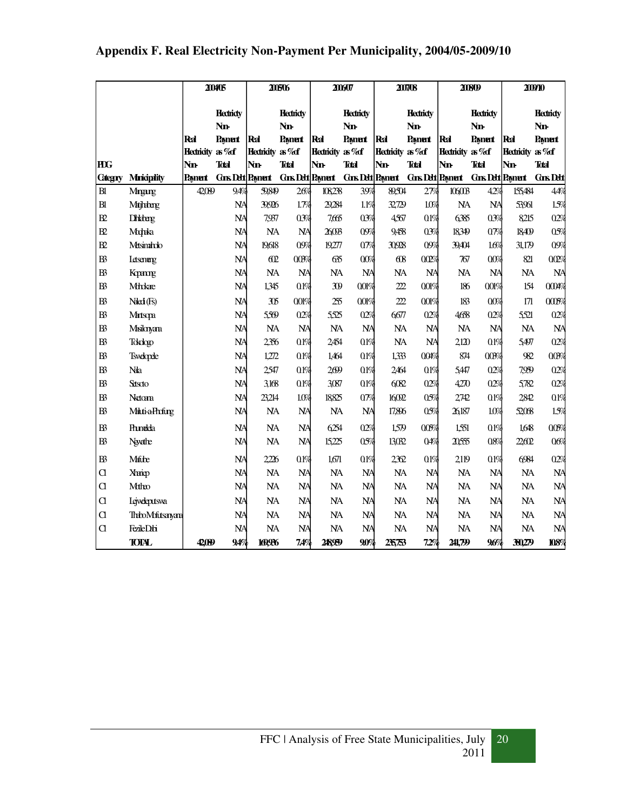|                |                       |                        | 200405           |                          | 20606                    |                        | 200607           |                                            | 2007/08        |                 | 20809                    |                        | 200910          |
|----------------|-----------------------|------------------------|------------------|--------------------------|--------------------------|------------------------|------------------|--------------------------------------------|----------------|-----------------|--------------------------|------------------------|-----------------|
|                |                       |                        |                  |                          |                          |                        |                  |                                            |                |                 |                          |                        |                 |
|                |                       |                        | <b>Hectricty</b> |                          | <b>Hectricty</b>         |                        | <b>Hectricty</b> |                                            | <b>Hedridy</b> |                 | <b>Hectricty</b>         |                        | <b>Hedridy</b>  |
|                |                       | Ral                    | <b>Nn-</b>       | Ral                      | <b>Nn-</b>               | Real                   | <b>Nn-</b>       | Ral                                        | <b>Nn-</b>     | Ral             | Nn-                      | Ral                    | <b>Nn</b>       |
|                |                       | <b>Hedridty</b> as %df | Paynent          | <b>Hednidty</b> as %df   | Payment                  | <b>Hedridty</b> as %df | <b>Payment</b>   | <b>Hedridty</b> as %df                     | <b>Payment</b> | Hednidty as %df | <b>Payment</b>           | <b>Hedridty</b> as %df | <b>Payment</b>  |
| <b>HIG</b>     |                       | <b>Nn</b>              | <b>Total</b>     | Nn.                      | <b>Total</b>             | <b>Nn</b>              | <b>Total</b>     | Nn-                                        | <b>Total</b>   | Nn-             | <b>Total</b>             | Nn                     | <b>Total</b>    |
| <b>Categry</b> | <b>Mniciplity</b>     | <b>Payment</b>         |                  | <b>Cans Dett Payment</b> | <b>Cars Dett Payment</b> |                        |                  | <b>Cons Debt Payment Cons Debt Payment</b> |                |                 | <b>Gors Dett Payment</b> |                        | <b>Gns Dett</b> |
| B1             | Manang                | 42,089                 | 9.4%             | 59,849                   | 26%                      | 108238                 | 39%              | 89,504                                     | 27%            | 106003          | 4.2%                     | 155,484                | 4.4%            |
| B1             | <b>Mtjhbarg</b>       |                        | <b>NA</b>        | 39,926                   | 1.7%                     | 29,284                 | 1.1%             | 32,729                                     | 1.0%           | <b>NA</b>       | <b>NA</b>                | 53,961                 | 1.5%            |
| $\mathbf{E}$   | <b>Dhidong</b>        |                        | <b>NA</b>        | 7,937                    | 03%                      | 7,665                  | 03%              | 4567                                       | 0.1%           | 6385            | 03%                      | 8215                   | 02%             |
| B2             | Mohka                 |                        | <b>NA</b>        | <b>NA</b>                | <b>NA</b>                | 26,093                 | 09%              | 9,458                                      | 03%            | 18349           | 07%                      | 18409                  | 05%             |
| $\mathbf{E}$   | Masinahdo             |                        | $N\!A$           | 19,618                   | 09%                      | 19277                  | $0\%$            | 30,928                                     | 09%            | 39,404          | 16%                      | 31,179                 | 09%             |
| $B\!$          | <b>Letsenang</b>      |                        | <b>NA</b>        | 60                       | $00\%$                   | 635                    | 00%              | 68                                         | 00%            | 767             | 00%                      | 821                    | 002%            |
| $B\!$          | Kopme                 |                        | <b>NA</b>        | <b>NA</b>                | <b>NA</b>                | <b>NA</b>              | <b>NA</b>        | <b>NA</b>                                  | <b>NA</b>      | <b>NA</b>       | <b>NA</b>                | <b>NA</b>              | <b>NA</b>       |
| B <sup>3</sup> | <b>Mh</b> kae         |                        | <b>NA</b>        | 1,345                    | 0.1%                     | W                      | 001%             | 222                                        | 001%           | 186             | 001%                     | 154                    | 0004%           |
| B <sup>3</sup> | Niled (Fs)            |                        | <b>NA</b>        | 305                      | 001%                     | 255                    | 001%             | 222                                        | 001%           | 183             | 00%                      | 171                    | 000%            |
| B <sup>3</sup> | Martsqxa              |                        | <b>NA</b>        | 5509                     | 02%                      | 5525                   | 02%              | 6677                                       | 02%            | 4658            | 02%                      | 5521                   | 02%             |
| B <sup>3</sup> | Misilanyana           |                        | <b>NA</b>        | <b>NA</b>                | <b>NA</b>                | <b>NA</b>              | <b>NA</b>        | <b>NA</b>                                  | <b>NA</b>      | <b>NA</b>       | <b>NA</b>                | <b>NA</b>              | <b>NA</b>       |
| B <sup>3</sup> | Tokologo              |                        | <b>NA</b>        | 2356                     | 0.1%                     | 2454                   | 01%              | <b>NA</b>                                  | <b>NA</b>      | 2120            | 01%                      | 5,497                  | 02%             |
| B <sup>3</sup> | <b>Tsvelopele</b>     |                        | <b>NA</b>        | 1,272                    | 01%                      | 1,464                  | 01%              | 1,333                                      | 004%           | 874             | $00\%$                   | 982                    | $00\%$          |
| B <sup>3</sup> | Na                    |                        | <b>NA</b>        | 2547                     | 01%                      | 2699                   | 0.1%             | 2464                                       | 01%            | 5,447           | 02%                      | 7,959                  | 02%             |
| B <sup>3</sup> | Stiscto               |                        | $N\!A$           | 3168                     | 0.1%                     | 3087                   | 01%              | 6082                                       | 02%            | 4270            | 02%                      | 5782                   | 02%             |
| $B\!$          | Netom                 |                        | <b>NA</b>        | 23,214                   | 10%                      | 18825                  | 07%              | 16092                                      | 05%            | 2742            | 01%                      | 2842                   | 0.1%            |
| $B^3$          | <b>Mati-a-Phofing</b> |                        | <b>NA</b>        | <b>NA</b>                | <b>NA</b>                | <b>NA</b>              | <b>NA</b>        | 17,896                                     | 05%            | 26,187          | 1.0%                     | 52068                  | 15%             |
| B <sup>3</sup> | <b>Princeda</b>       |                        | <b>NA</b>        | NA                       | <b>NA</b>                | 6254                   | 02%              | 1,579                                      | 00%            | 1,551           | 01%                      | 1,648                  | 00%             |
| $B\!$          | Newathe               |                        | <b>NA</b>        | <b>NA</b>                | <b>NA</b>                | 15,225                 | 05%              | 13,032                                     | 04%            | 20,555          | 08%                      | 2260                   | 06%             |
| $B\!$          | Mitte                 |                        | <b>NA</b>        | 2206                     | 0.1%                     | 1,671                  | 01%              | 2362                                       | 0.1%           | 2119            | 01%                      | 6984                   | 02%             |
| $\alpha$       | Xhaip                 |                        | $N\!A$           | <b>NA</b>                | <b>NA</b>                | <b>NA</b>              | <b>NA</b>        | <b>NA</b>                                  | <b>NA</b>      | <b>NA</b>       | <b>NA</b>                | <b>NA</b>              | <b>NA</b>       |
| $\alpha$       | Mtho                  |                        | <b>NA</b>        | <b>NA</b>                | <b>NA</b>                | <b>NA</b>              | <b>NA</b>        | <b>NA</b>                                  | <b>NA</b>      | <b>NA</b>       | <b>NA</b>                | <b>NA</b>              | <b>NA</b>       |
| $\alpha$       | <b>Lejveleptsva</b>   |                        | <b>NA</b>        | <b>NA</b>                | <b>NA</b>                | <b>NA</b>              | <b>NA</b>        | <b>NA</b>                                  | <b>NA</b>      | NA              | <b>NA</b>                | <b>NA</b>              | <b>NA</b>       |
| $\alpha$       | ThiboMfutsayan        |                        | <b>NA</b>        | <b>NA</b>                | <b>NA</b>                | <b>NA</b>              | <b>NA</b>        | <b>NA</b>                                  | <b>NA</b>      | <b>NA</b>       | <b>NA</b>                | <b>NA</b>              | <b>NA</b>       |
| $\alpha$       | FezileDbi             |                        | <b>NA</b>        | <b>NA</b>                | <b>NA</b>                | <b>NA</b>              | $N_A$            | <b>NA</b>                                  | <b>NA</b>      | <b>NA</b>       | <b>NA</b>                | <b>NA</b>              | <b>NA</b>       |
|                | <b>TOTAL</b>          | 42,099                 | 94%              | 16996                    | 7,4%                     | 248959                 | 9.0%             | 25,753                                     | 7.2%           | 241,799         | 9.6%                     | 30,279                 | 108%            |

# **Appendix F. Real Electricity Non-Payment Per Municipality, 2004/05-2009/10**